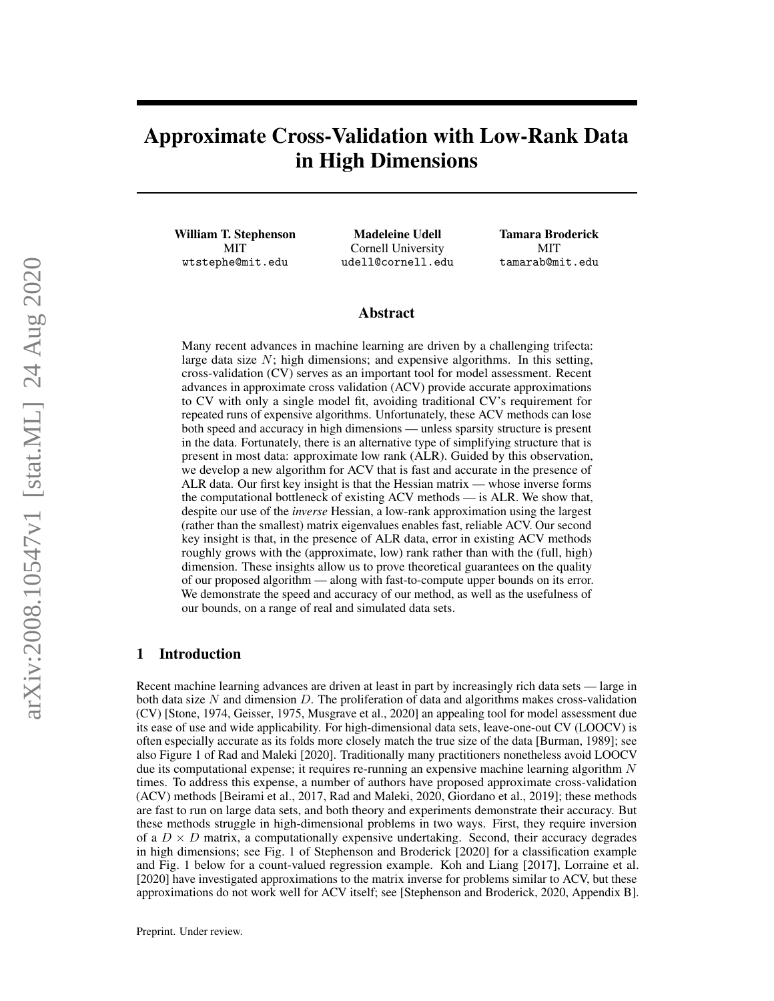# Approximate Cross-Validation with Low-Rank Data in High Dimensions

William T. Stephenson MIT wtstephe@mit.edu

Madeleine Udell Cornell University udell@cornell.edu Tamara Broderick MIT tamarab@mit.edu

## Abstract

Many recent advances in machine learning are driven by a challenging trifecta: large data size  $N$ ; high dimensions; and expensive algorithms. In this setting, cross-validation (CV) serves as an important tool for model assessment. Recent advances in approximate cross validation (ACV) provide accurate approximations to CV with only a single model fit, avoiding traditional CV's requirement for repeated runs of expensive algorithms. Unfortunately, these ACV methods can lose both speed and accuracy in high dimensions — unless sparsity structure is present in the data. Fortunately, there is an alternative type of simplifying structure that is present in most data: approximate low rank (ALR). Guided by this observation, we develop a new algorithm for ACV that is fast and accurate in the presence of ALR data. Our first key insight is that the Hessian matrix — whose inverse forms the computational bottleneck of existing ACV methods — is ALR. We show that, despite our use of the *inverse* Hessian, a low-rank approximation using the largest (rather than the smallest) matrix eigenvalues enables fast, reliable ACV. Our second key insight is that, in the presence of ALR data, error in existing ACV methods roughly grows with the (approximate, low) rank rather than with the (full, high) dimension. These insights allow us to prove theoretical guarantees on the quality of our proposed algorithm — along with fast-to-compute upper bounds on its error. We demonstrate the speed and accuracy of our method, as well as the usefulness of our bounds, on a range of real and simulated data sets.

## 1 Introduction

Recent machine learning advances are driven at least in part by increasingly rich data sets — large in both data size  $N$  and dimension  $D$ . The proliferation of data and algorithms makes cross-validation (CV) [Stone, 1974, Geisser, 1975, Musgrave et al., 2020] an appealing tool for model assessment due its ease of use and wide applicability. For high-dimensional data sets, leave-one-out CV (LOOCV) is often especially accurate as its folds more closely match the true size of the data [Burman, 1989]; see also Figure 1 of Rad and Maleki [2020]. Traditionally many practitioners nonetheless avoid LOOCV due its computational expense; it requires re-running an expensive machine learning algorithm  $N$ times. To address this expense, a number of authors have proposed approximate cross-validation (ACV) methods [Beirami et al., 2017, Rad and Maleki, 2020, Giordano et al., 2019]; these methods are fast to run on large data sets, and both theory and experiments demonstrate their accuracy. But these methods struggle in high-dimensional problems in two ways. First, they require inversion of a  $D \times D$  matrix, a computationally expensive undertaking. Second, their accuracy degrades in high dimensions; see Fig. 1 of Stephenson and Broderick [2020] for a classification example and Fig. 1 below for a count-valued regression example. Koh and Liang [2017], Lorraine et al. [2020] have investigated approximations to the matrix inverse for problems similar to ACV, but these approximations do not work well for ACV itself; see [Stephenson and Broderick, 2020, Appendix B].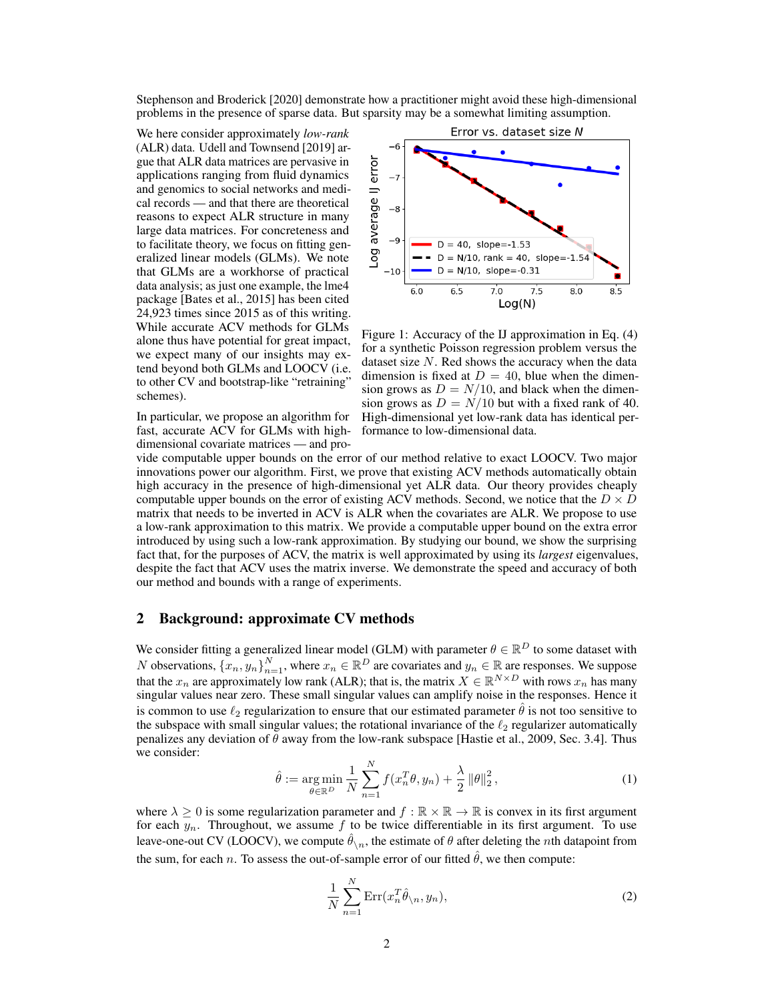Stephenson and Broderick [2020] demonstrate how a practitioner might avoid these high-dimensional problems in the presence of sparse data. But sparsity may be a somewhat limiting assumption.

We here consider approximately *low-rank* (ALR) data. Udell and Townsend [2019] argue that ALR data matrices are pervasive in applications ranging from fluid dynamics and genomics to social networks and medical records — and that there are theoretical reasons to expect ALR structure in many large data matrices. For concreteness and to facilitate theory, we focus on fitting generalized linear models (GLMs). We note that GLMs are a workhorse of practical data analysis; as just one example, the lme4 package [Bates et al., 2015] has been cited 24,923 times since 2015 as of this writing. While accurate ACV methods for GLMs alone thus have potential for great impact, we expect many of our insights may extend beyond both GLMs and LOOCV (i.e. to other CV and bootstrap-like "retraining" schemes).

In particular, we propose an algorithm for fast, accurate ACV for GLMs with highdimensional covariate matrices — and pro-



Figure 1: Accuracy of the IJ approximation in Eq. (4) for a synthetic Poisson regression problem versus the dataset size  $N$ . Red shows the accuracy when the data dimension is fixed at  $D = 40$ , blue when the dimension grows as  $D = N/10$ , and black when the dimension grows as  $D = N/10$  but with a fixed rank of 40. High-dimensional yet low-rank data has identical performance to low-dimensional data.

vide computable upper bounds on the error of our method relative to exact LOOCV. Two major innovations power our algorithm. First, we prove that existing ACV methods automatically obtain high accuracy in the presence of high-dimensional yet ALR data. Our theory provides cheaply computable upper bounds on the error of existing ACV methods. Second, we notice that the  $D \times D$ matrix that needs to be inverted in ACV is ALR when the covariates are ALR. We propose to use a low-rank approximation to this matrix. We provide a computable upper bound on the extra error introduced by using such a low-rank approximation. By studying our bound, we show the surprising fact that, for the purposes of ACV, the matrix is well approximated by using its *largest* eigenvalues, despite the fact that ACV uses the matrix inverse. We demonstrate the speed and accuracy of both our method and bounds with a range of experiments.

## 2 Background: approximate CV methods

We consider fitting a generalized linear model (GLM) with parameter  $\theta \in \mathbb{R}^D$  to some dataset with N observations,  $\{x_n, y_n\}_{n=1}^N$ , where  $x_n \in \mathbb{R}^D$  are covariates and  $y_n \in \mathbb{R}$  are responses. We suppose that the  $x_n$  are approximately low rank (ALR); that is, the matrix  $X \in \mathbb{R}^{N \times D}$  with rows  $x_n$  has many singular values near zero. These small singular values can amplify noise in the responses. Hence it is common to use  $\ell_2$  regularization to ensure that our estimated parameter  $\hat{\theta}$  is not too sensitive to the subspace with small singular values; the rotational invariance of the  $\ell_2$  regularizer automatically penalizes any deviation of  $\theta$  away from the low-rank subspace [Hastie et al., 2009, Sec. 3.4]. Thus we consider:

$$
\hat{\theta} := \underset{\theta \in \mathbb{R}^D}{\arg \min} \frac{1}{N} \sum_{n=1}^N f(x_n^T \theta, y_n) + \frac{\lambda}{2} ||\theta||_2^2, \tag{1}
$$

where  $\lambda \geq 0$  is some regularization parameter and  $f : \mathbb{R} \times \mathbb{R} \to \mathbb{R}$  is convex in its first argument for each  $y_n$ . Throughout, we assume f to be twice differentiable in its first argument. To use leave-one-out CV (LOOCV), we compute  $\hat{\theta}_{\setminus n}$ , the estimate of  $\theta$  after deleting the *n*th datapoint from the sum, for each n. To assess the out-of-sample error of our fitted  $\hat{\theta}$ , we then compute:

$$
\frac{1}{N} \sum_{n=1}^{N} \text{Err}(x_n^T \hat{\theta}_{\setminus n}, y_n),\tag{2}
$$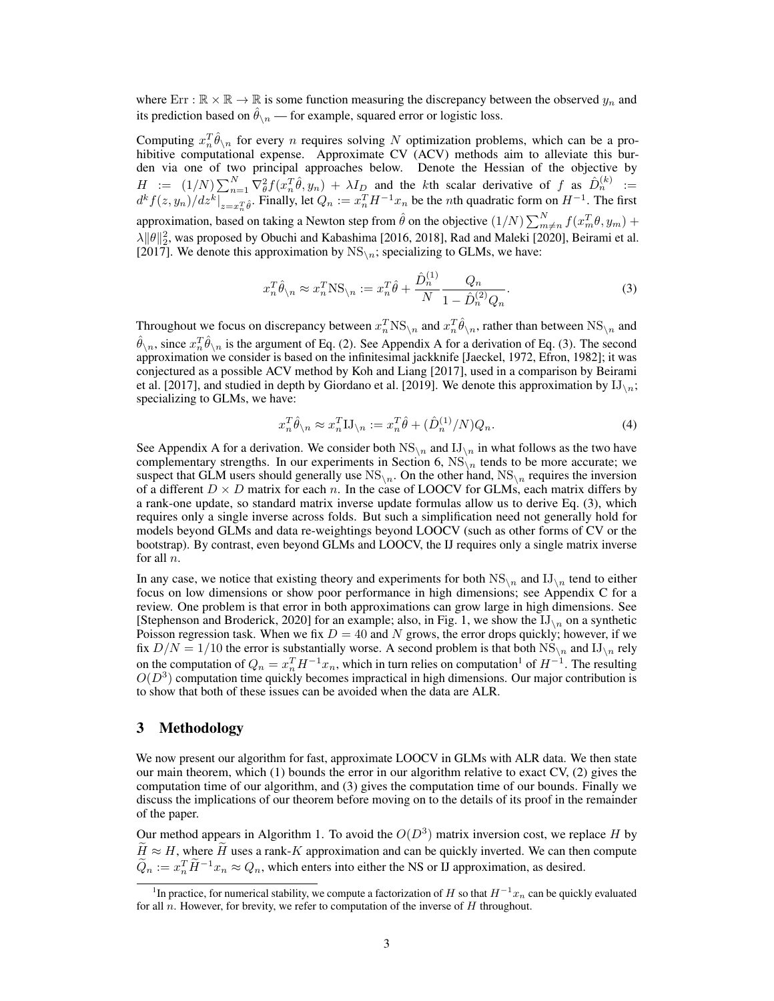where  $Err : \mathbb{R} \times \mathbb{R} \to \mathbb{R}$  is some function measuring the discrepancy between the observed  $y_n$  and its prediction based on  $\hat{\theta}_{n}$  — for example, squared error or logistic loss.

Computing  $x_n^T \hat{\theta}_{\setminus n}$  for every n requires solving N optimization problems, which can be a prohibitive computational expense. Approximate CV (ACV) methods aim to alleviate this burden via one of two principal approaches below. Denote the Hessian of the objective by  $H := (1/N) \sum_{n=1}^{N} \nabla_{\theta}^{2} f(x_{n}^{T} \hat{\theta}, y_{n}) + \lambda I_{D}$  and the kth scalar derivative of f as  $\hat{D}_{n}^{(k)} :=$  $\left. d^k f(z, y_n) / dz^k \right|_{z=x_n^T \hat{\theta}}$ . Finally, let  $Q_n := x_n^T H^{-1} x_n$  be the *n*th quadratic form on  $H^{-1}$ . The first approximation, based on taking a Newton step from  $\hat{\theta}$  on the objective  $(1/N)\sum_{m\neq n}^{N}f(x_m^T\theta,y_m)+$  $\lambda \| \theta \|_2^2$ , was proposed by Obuchi and Kabashima [2016, 2018], Rad and Maleki [2020], Beirami et al. [2017]. We denote this approximation by  $NS_{\text{N}}$ ; specializing to GLMs, we have:

$$
x_n^T \hat{\theta}_{\backslash n} \approx x_n^T \text{NS}_{\backslash n} := x_n^T \hat{\theta} + \frac{\hat{D}_n^{(1)}}{N} \frac{Q_n}{1 - \hat{D}_n^{(2)} Q_n}.
$$
 (3)

Throughout we focus on discrepancy between  $x_n^T NS_{\setminus n}$  and  $x_n^T \hat{\theta}_{\setminus n}$ , rather than between  $NS_{\setminus n}$  and  $\hat{\theta}_{\setminus n}$ , since  $x_n^T \hat{\theta}_{\setminus n}$  is the argument of Eq. (2). See Appendix A for a derivation of Eq. (3). The second approximation we consider is based on the infinitesimal jackknife [Jaeckel, 1972, Efron, 1982]; it was conjectured as a possible ACV method by Koh and Liang [2017], used in a comparison by Beirami et al. [2017], and studied in depth by Giordano et al. [2019]. We denote this approximation by  $IJ_{\setminus n}$ ; specializing to GLMs, we have:

$$
x_n^T \hat{\theta}_{\setminus n} \approx x_n^T \mathbf{I} \mathbf{J}_{\setminus n} := x_n^T \hat{\theta} + (\hat{D}_n^{(1)}/N) Q_n. \tag{4}
$$

See Appendix A for a derivation. We consider both  $NS_{\lambda n}$  and  $IJ_{\lambda n}$  in what follows as the two have complementary strengths. In our experiments in Section 6,  $NS_{n}$  tends to be more accurate; we suspect that GLM users should generally use  $NS_{\{n\}}$ . On the other hand,  $NS_{\{n\}}$  requires the inversion of a different  $D \times D$  matrix for each n. In the case of LOOCV for GLMs, each matrix differs by a rank-one update, so standard matrix inverse update formulas allow us to derive Eq. (3), which requires only a single inverse across folds. But such a simplification need not generally hold for models beyond GLMs and data re-weightings beyond LOOCV (such as other forms of CV or the bootstrap). By contrast, even beyond GLMs and LOOCV, the IJ requires only a single matrix inverse for all n.

In any case, we notice that existing theory and experiments for both  $NS_{\text{N}}$  and  $IJ_{\text{N}}$  tend to either focus on low dimensions or show poor performance in high dimensions; see Appendix C for a review. One problem is that error in both approximations can grow large in high dimensions. See [Stephenson and Broderick, 2020] for an example; also, in Fig. 1, we show the  $IJ_{\setminus n}$  on a synthetic Poisson regression task. When we fix  $D = 40$  and N grows, the error drops quickly; however, if we fix  $D/N = 1/10$  the error is substantially worse. A second problem is that both  $NS_{\text{N}}$  and  $IJ_{\text{N}}$  rely on the computation of  $Q_n = x_n^T H^{-1} x_n$ , which in turn relies on computation<sup>1</sup> of  $H^{-1}$ . The resulting  $O(D^3)$  computation time quickly becomes impractical in high dimensions. Our major contribution is to show that both of these issues can be avoided when the data are ALR.

## 3 Methodology

We now present our algorithm for fast, approximate LOOCV in GLMs with ALR data. We then state our main theorem, which (1) bounds the error in our algorithm relative to exact CV, (2) gives the computation time of our algorithm, and (3) gives the computation time of our bounds. Finally we discuss the implications of our theorem before moving on to the details of its proof in the remainder of the paper.

Our method appears in Algorithm 1. To avoid the  $O(D^3)$  matrix inversion cost, we replace H by  $\widetilde{H} \approx H$ , where  $\widetilde{H}$  uses a rank-K approximation and can be quickly inverted. We can then compute  $\tilde{Q}_n := x_n^T \tilde{H}^{-1} x_n \approx Q_n$ , which enters into either the NS or IJ approximation, as desired.

<sup>&</sup>lt;sup>1</sup>In practice, for numerical stability, we compute a factorization of H so that  $H^{-1}x_n$  can be quickly evaluated for all n. However, for brevity, we refer to computation of the inverse of  $H$  throughout.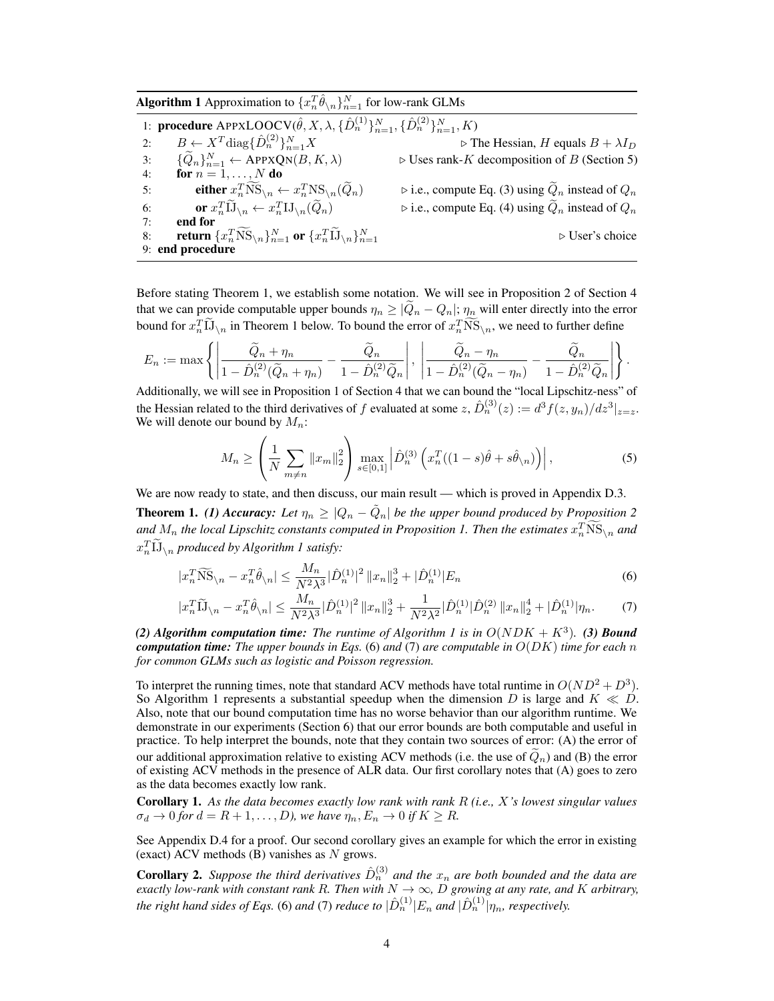**Algorithm 1** Approximation to  $\{x_n^T \hat{\theta}_{\setminus n}\}_{n=1}^N$  for low-rank GLMs

1: **procedure**  $\mathrm{APPXLOOCV}(\hat{\theta}, X, \lambda, \{\hat{D}_n^{(1)}\}_{n=1}^N, \{\hat{D}_n^{(2)}\}_{n=1}^N, K)$ 2:  $B \leftarrow X^T \text{diag} \{ \hat{D}_n^{(2)} \}_{n=1}^N X$   $\triangleright$  The Hessian, H equals  $B + \lambda I_D$  $\{2n\}\}^{N}_{n}$ 3:  $\{\widetilde{Q}_n\}_{n=1}^N \leftarrow \text{APPXQN}(B, K, \lambda)$   $\triangleright$  Uses rank-K decomposition of B (Section 5) 4: for  $n = 1, \ldots, N$  do 5: either  $x_n^T NS_{\setminus n} \leftarrow x_n^T NS_{\setminus n}(\tilde{Q}_n)$   $\triangleright$  i.e., compute Eq. (3) using  $\tilde{Q}_n$  instead of  $Q_n$ 6: **or**  $x_n^T \tilde{\mathbf{1}} \mathbf{J}_{\setminus n} \leftarrow x_n^T \mathbf{I} \mathbf{J}_{\setminus n}(\tilde{Q}_n)$   $\triangleright$  i.e., compute Eq. (4) using  $\tilde{Q}_n$  instead of  $Q_n$ 7: end for 8: return  $\{x_n^T\tilde{\text{NS}}_{\setminus n}\}_{n=1}^N$  or  $\{x_n^T\tilde{\text{US}}_{\setminus n}\}_{n=1}^N$ ⊳ User's choice 9: end procedure

Before stating Theorem 1, we establish some notation. We will see in Proposition 2 of Section 4 that we can provide computable upper bounds  $\eta_n \geq |Q_n - Q_n|$ ;  $\eta_n$  will enter directly into the error bound for  $x_n^T \tilde{IJ}_{\setminus n}$  in Theorem 1 below. To bound the error of  $x_n^T \tilde{NS}_{\setminus n}$ , we need to further define

$$
E_n := \max \left\{ \left| \frac{\widetilde{Q}_n + \eta_n}{1 - \hat{D}_n^{(2)}(\widetilde{Q}_n + \eta_n)} - \frac{\widetilde{Q}_n}{1 - \hat{D}_n^{(2)}\widetilde{Q}_n} \right|, \left| \frac{\widetilde{Q}_n - \eta_n}{1 - \hat{D}_n^{(2)}(\widetilde{Q}_n - \eta_n)} - \frac{\widetilde{Q}_n}{1 - \hat{D}_n^{(2)}\widetilde{Q}_n} \right| \right\}.
$$

Additionally, we will see in Proposition 1 of Section 4 that we can bound the "local Lipschitz-ness" of the Hessian related to the third derivatives of f evaluated at some  $z$ ,  $\hat{D}_n^{(3)}(z) := d^3 f(z, y_n) / dz^3|_{z=z}$ . We will denote our bound by  $M_n$ :

$$
M_n \ge \left(\frac{1}{N} \sum_{m \neq n} ||x_m||_2^2\right) \max_{s \in [0,1]} \left| \hat{D}_n^{(3)} \left( x_n^T ((1-s)\hat{\theta} + s\hat{\theta}_{\setminus n}) \right) \right|,\tag{5}
$$

We are now ready to state, and then discuss, our main result — which is proved in Appendix D.3.

**Theorem 1.** (1) Accuracy: Let  $\eta_n \geq |Q_n - \tilde{Q}_n|$  be the upper bound produced by Proposition 2 and  $M_n$  the local Lipschitz constants computed in Proposition 1. Then the estimates  $x_n^T\overline{\text{NS}}_{\setminus n}$  and  $x_n^T \widetilde{\mathbf{1}}_{\setminus n}$  produced by Algorithm 1 satisfy:

$$
|x_n^T \widetilde{\text{NS}}_{\backslash n} - x_n^T \hat{\theta}_{\backslash n}| \le \frac{M_n}{N^2 \lambda^3} |\hat{D}_n^{(1)}|^2 \left\| x_n \right\|_2^3 + |\hat{D}_n^{(1)}| E_n \tag{6}
$$

$$
|x_n^T \widetilde{\mathbf{1}}_{\lambda n} - x_n^T \hat{\theta}_{\lambda n}| \le \frac{M_n}{N^2 \lambda^3} |\hat{D}_n^{(1)}|^2 \|x_n\|_2^3 + \frac{1}{N^2 \lambda^2} |\hat{D}_n^{(1)}| \hat{D}_n^{(2)} \|x_n\|_2^4 + |\hat{D}_n^{(1)}| \eta_n. \tag{7}
$$

(2) Algorithm computation time: The runtime of Algorithm 1 is in  $O(NDK + K^3)$ . (3) Bound *computation time: The upper bounds in Eqs.* (6) *and* (7) *are computable in* O(DK) *time for each* n *for common GLMs such as logistic and Poisson regression.*

To interpret the running times, note that standard ACV methods have total runtime in  $O(ND^2 + D^3)$ . So Algorithm 1 represents a substantial speedup when the dimension D is large and  $K \ll D$ . Also, note that our bound computation time has no worse behavior than our algorithm runtime. We demonstrate in our experiments (Section 6) that our error bounds are both computable and useful in practice. To help interpret the bounds, note that they contain two sources of error: (A) the error of our additional approximation relative to existing ACV methods (i.e. the use of  $\tilde{Q}_n$ ) and (B) the error of existing ACV methods in the presence of ALR data. Our first corollary notes that (A) goes to zero as the data becomes exactly low rank.

Corollary 1. *As the data becomes exactly low rank with rank* R *(i.e.,* X*'s lowest singular values*  $\sigma_d \to 0$  for  $d = R + 1, \ldots, D$ , we have  $\eta_n, E_n \to 0$  if  $K \geq R$ .

See Appendix D.4 for a proof. Our second corollary gives an example for which the error in existing (exact) ACV methods  $(B)$  vanishes as N grows.

**Corollary 2.** Suppose the third derivatives  $\hat{D}_n^{(3)}$  and the  $x_n$  are both bounded and the data are *exactly low-rank with constant rank R. Then with*  $N \to \infty$ , D *growing at any rate, and* K *arbitrary,* the right hand sides of Eqs. (6) and (7) reduce to  $|\hat{D}_n^{(1)}|E_n$  and  $|\hat{D}_n^{(1)}| \eta_n$ , respectively.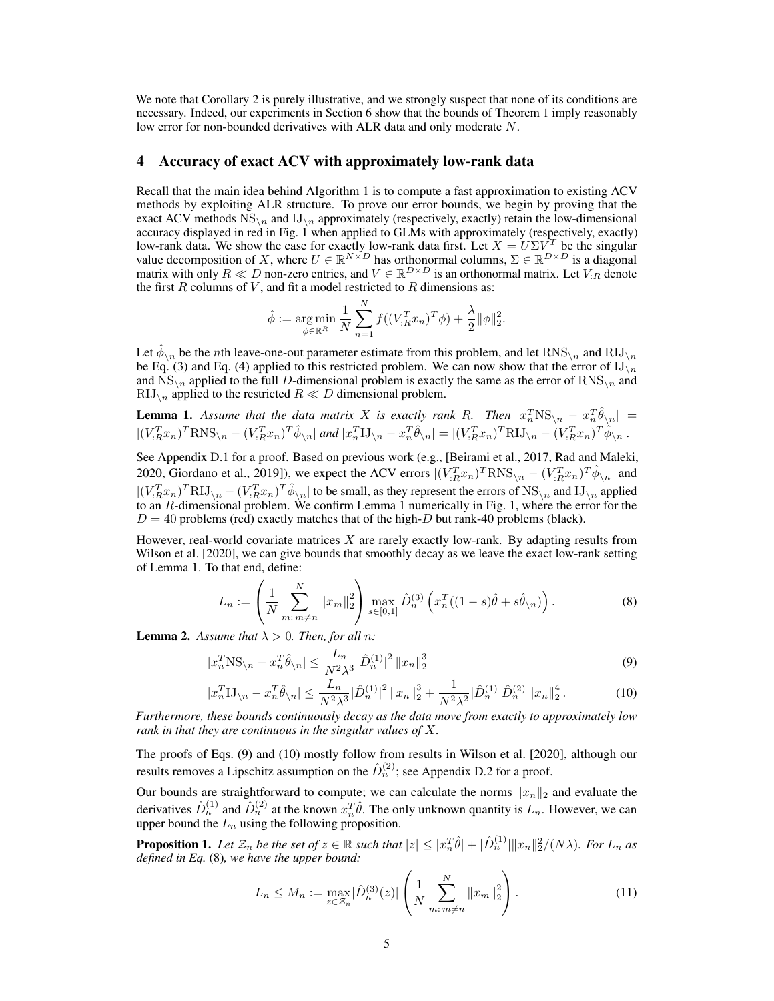We note that Corollary 2 is purely illustrative, and we strongly suspect that none of its conditions are necessary. Indeed, our experiments in Section 6 show that the bounds of Theorem 1 imply reasonably low error for non-bounded derivatives with ALR data and only moderate N.

#### 4 Accuracy of exact ACV with approximately low-rank data

Recall that the main idea behind Algorithm 1 is to compute a fast approximation to existing ACV methods by exploiting ALR structure. To prove our error bounds, we begin by proving that the exact ACV methods  $NS_{\{n\}}$  and  $IJ_{\{n\}}$  approximately (respectively, exactly) retain the low-dimensional accuracy displayed in red in Fig. 1 when applied to GLMs with approximately (respectively, exactly) low-rank data. We show the case for exactly low-rank data first. Let  $X = U\Sigma V^T$  be the singular value decomposition of X, where  $U \in \mathbb{R}^{N \times D}$  has orthonormal columns,  $\Sigma \in \mathbb{R}^{D \times D}$  is a diagonal matrix with only  $R \ll D$  non-zero entries, and  $V \in \mathbb{R}^{D \times D}$  is an orthonormal matrix. Let  $V_{:R}$  denote the first  $R$  columns of  $V$ , and fit a model restricted to  $R$  dimensions as:

$$
\hat{\phi} := \underset{\phi \in \mathbb{R}^R}{\arg \min} \frac{1}{N} \sum_{n=1}^N f((V_{:R}^T x_n)^T \phi) + \frac{\lambda}{2} ||\phi||_2^2.
$$

Let  $\hat{\phi}_{\setminus n}$  be the *n*th leave-one-out parameter estimate from this problem, and let  $RNS_{\setminus n}$  and  $RIJ_{\setminus n}$ be Eq. (3) and Eq. (4) applied to this restricted problem. We can now show that the error of  $IJ_{\setminus n}$ and  $NS_{\text{N}}$  applied to the full D-dimensional problem is exactly the same as the error of  $RNS_{\text{N}}$  and  $\text{RIJ}_{\setminus n}$  applied to the restricted  $R \ll D$  dimensional problem.

**Lemma 1.** Assume that the data matrix X is exactly rank R. Then  $|x_n^T NS_{\setminus n} - x_n^T \hat{\theta}_{\setminus n}| =$  $|(V_{:R}^T x_n)^T RNS_{\backslash n} - (V_{:R}^T x_n)^T \hat{\phi}_{\backslash n}|$  and  $|x_n^T II_{\backslash n} - x_n^T \hat{\theta}_{\backslash n}| = |(V_{:R}^T x_n)^T R II_{\backslash n} - (V_{:R}^T x_n)^T \hat{\phi}_{\backslash n}|$ .

See Appendix D.1 for a proof. Based on previous work (e.g., [Beirami et al., 2017, Rad and Maleki, 2020, Giordano et al., 2019]), we expect the ACV errors  $|(V_{:R}^Tx_n)^TRNS_{\setminus n} - (V_{:R}^Tx_n)^T\hat{\phi}_{\setminus n}|$  and  $|(V_{:R}^{T}x_{n})^{T}RII_{\setminus n} - (V_{:R}^{T}x_{n})^{T}\hat{\phi}_{\setminus n}|$  to be small, as they represent the errors of NS<sub>\n</sub> and IJ<sub>\n</sub> applied to an R-dimensional problem. We confirm Lemma 1 numerically in Fig. 1, where the error for the  $D = 40$  problems (red) exactly matches that of the high- $D$  but rank-40 problems (black).

However, real-world covariate matrices X are rarely exactly low-rank. By adapting results from Wilson et al. [2020], we can give bounds that smoothly decay as we leave the exact low-rank setting of Lemma 1. To that end, define:

$$
L_n := \left(\frac{1}{N} \sum_{m:\,m \neq n}^N \|x_m\|_2^2\right) \max_{s \in [0,1]} \hat{D}_n^{(3)} \left(x_n^T((1-s)\hat{\theta} + s\hat{\theta}_{n})\right). \tag{8}
$$

**Lemma 2.** Assume that  $\lambda > 0$ . Then, for all n:

$$
|x_n^T \text{NS}_{\backslash n} - x_n^T \hat{\theta}_{\backslash n}| \le \frac{L_n}{N^2 \lambda^3} |\hat{D}_n^{(1)}|^2 \|x_n\|_2^3
$$
\n(9)

$$
|x_n^T \mathbf{I} \mathbf{J}_{\setminus n} - x_n^T \hat{\theta}_{\setminus n}| \le \frac{L_n}{N^2 \lambda^3} |\hat{D}_n^{(1)}|^2 \|x_n\|_2^3 + \frac{1}{N^2 \lambda^2} |\hat{D}_n^{(1)}| \hat{D}_n^{(2)} \|x_n\|_2^4. \tag{10}
$$

*Furthermore, these bounds continuously decay as the data move from exactly to approximately low rank in that they are continuous in the singular values of* X*.*

The proofs of Eqs. (9) and (10) mostly follow from results in Wilson et al. [2020], although our results removes a Lipschitz assumption on the  $\hat{D}_n^{(2)}$ ; see Appendix D.2 for a proof.

Our bounds are straightforward to compute; we can calculate the norms  $||x_n||_2$  and evaluate the derivatives  $\hat{D}_n^{(1)}$  and  $\hat{D}_n^{(2)}$  at the known  $x_n^T \hat{\theta}$ . The only unknown quantity is  $L_n$ . However, we can upper bound the  $L_n$  using the following proposition.

**Proposition 1.** Let  $\mathcal{Z}_n$  be the set of  $z \in \mathbb{R}$  such that  $|z| \leq |x_n^T \hat{\theta}| + |\hat{D}_n^{(1)}| \|x_n\|_2^2 / (N \lambda)$ . For  $L_n$  as *defined in Eq.* (8)*, we have the upper bound:*

$$
L_n \le M_n := \max_{z \in \mathcal{Z}_n} |\hat{D}_n^{(3)}(z)| \left( \frac{1}{N} \sum_{m:\, m \ne n}^N \|x_m\|_2^2 \right). \tag{11}
$$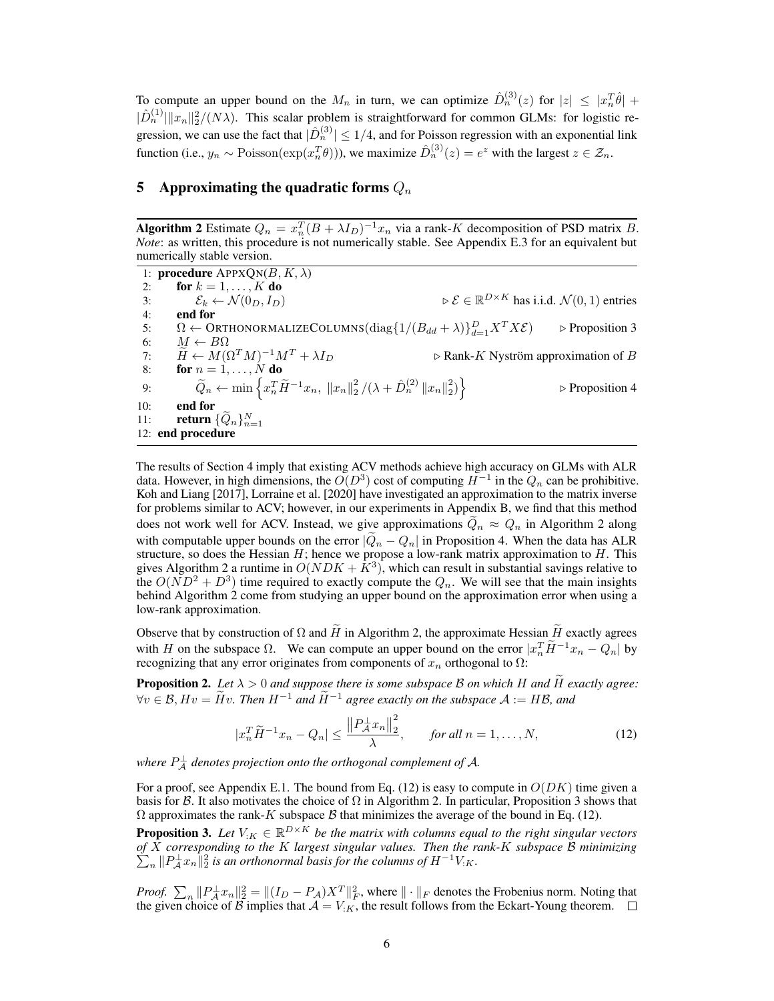To compute an upper bound on the  $M_n$  in turn, we can optimize  $\hat{D}_n^{(3)}(z)$  for  $|z| \leq |x_n^T \hat{\theta}| +$  $|\hat{D}_n^{(1)}| \|x_n\|_2^2/(N\lambda)$ . This scalar problem is straightforward for common GLMs: for logistic regression, we can use the fact that  $|\hat{D}_n^{(3)}| \le 1/4$ , and for Poisson regression with an exponential link function (i.e.,  $y_n \sim \text{Poisson}(\exp(x_n^T \theta))$ ), we maximize  $\hat{D}_n^{(3)}(z) = e^z$  with the largest  $z \in \mathcal{Z}_n$ .

## 5 Approximating the quadratic forms  $Q_n$

Algorithm 2 Estimate  $Q_n = x_n^T (B + \lambda I_D)^{-1} x_n$  via a rank-K decomposition of PSD matrix B. *Note*: as written, this procedure is not numerically stable. See Appendix E.3 for an equivalent but numerically stable version.

1: **procedure**  $APPXON(B, K, \lambda)$ 2: for  $k = 1, \ldots, K$  do 3:  $\mathcal{E}_k \leftarrow \mathcal{N}(0_D, I_D)$   $\triangleright \mathcal{E} \in \mathbb{R}$  $\triangleright \mathcal{E} \in \mathbb{R}^{D \times K}$  has i.i.d.  $\mathcal{N}(0, 1)$  entries 4: end for 5:  $\Omega \leftarrow \text{ORTHONORMALIZECOLUTIONNS}(\text{diag}\{1/(B_{dd}+\lambda)\}_{d=1}^D)$  $\triangleright$  Proposition 3 6:  $M \leftarrow B\Omega$ 7:  $\widetilde{H} \leftarrow M(\Omega^T M)^{-1} \Lambda$ <br>8: **for**  $n = 1, ..., N$  **do**  $\triangleright$  Rank-K Nyström approximation of B 9:  $\widetilde{Q}_n \leftarrow \min \left\{ x_n^T \widetilde{H}^{-1} x_n, \|x_n\|_2^2 / (\lambda + \hat{D}_n^{(2)} \|x_n\|_2^2) \right\}$  $\triangleright$  Proposition 4 10: end for 11: **return**  $\{\widetilde{Q}_n\}_{n=1}^N$ 12: end procedure

The results of Section 4 imply that existing ACV methods achieve high accuracy on GLMs with ALR data. However, in high dimensions, the  $O(D^3)$  cost of computing  $H^{-1}$  in the  $Q_n$  can be prohibitive. Koh and Liang [2017], Lorraine et al. [2020] have investigated an approximation to the matrix inverse for problems similar to ACV; however, in our experiments in Appendix B, we find that this method does not work well for ACV. Instead, we give approximations  $Q_n \approx Q_n$  in Algorithm 2 along with computable upper bounds on the error  $|Q_n - Q_n|$  in Proposition 4. When the data has ALR structure, so does the Hessian H; hence we propose a low-rank matrix approximation to H. This gives Algorithm 2 a runtime in  $O(NDK + \bar{K}^3)$ , which can result in substantial savings relative to the  $O(ND^2 + D^3)$  time required to exactly compute the  $Q_n$ . We will see that the main insights behind Algorithm 2 come from studying an upper bound on the approximation error when using a low-rank approximation.

Observe that by construction of  $\Omega$  and  $\widetilde{H}$  in Algorithm 2, the approximate Hessian  $\widetilde{H}$  exactly agrees with H on the subspace  $\Omega$ . We can compute an upper bound on the error  $|x_n^T\tilde{H}^{-1}x_n - Q_n|$  by recognizing that any error originates from components of  $x_n$  orthogonal to  $\Omega$ :

**Proposition 2.** Let  $\lambda > 0$  and suppose there is some subspace B on which H and  $\hat{H}$  exactly agree:  $\forall v \in \mathcal{B}$ ,  $Hv = \widetilde{H}v$ . Then  $H^{-1}$  and  $\widetilde{H}^{-1}$  agree exactly on the subspace  $\mathcal{A} := H\mathcal{B}$ , and

$$
|x_n^T \widetilde{H}^{-1} x_n - Q_n| \le \frac{\left\| P_{\mathcal{A}}^{\perp} x_n \right\|_2^2}{\lambda}, \qquad \text{for all } n = 1, \dots, N,\tag{12}
$$

where  $P_{\mathcal{A}}^{\perp}$  denotes projection onto the orthogonal complement of  $\mathcal{A}$ .

For a proof, see Appendix E.1. The bound from Eq. (12) is easy to compute in  $O(DK)$  time given a basis for B. It also motivates the choice of  $\Omega$  in Algorithm 2. In particular, Proposition 3 shows that  $\Omega$  approximates the rank-K subspace  $\beta$  that minimizes the average of the bound in Eq. (12).

**Proposition 3.** Let  $V_{:K} \in \mathbb{R}^{D \times K}$  be the matrix with columns equal to the right singular vectors *of* X *corresponding to the* K *largest singular values. Then the rank-*K *subspace* B *minimizing*  $\sum_{n} \| P_{\mathcal{A}}^{\perp} x_n \|_2^2$  is an orthonormal basis for the columns of  $H^{-1} V_{:K}$ .

*Proof.*  $\sum_{n} \|P_{\mathcal{A}}^{\perp} x_{n}\|_{2}^{2} = \|(I_{D} - P_{\mathcal{A}})X^{T}\|_{F}^{2}$ , where  $\|\cdot\|_{F}$  denotes the Frobenius norm. Noting that the given choice of B implies that  $A = V_{:K}$ , the result follows from the Eckart-Young theorem.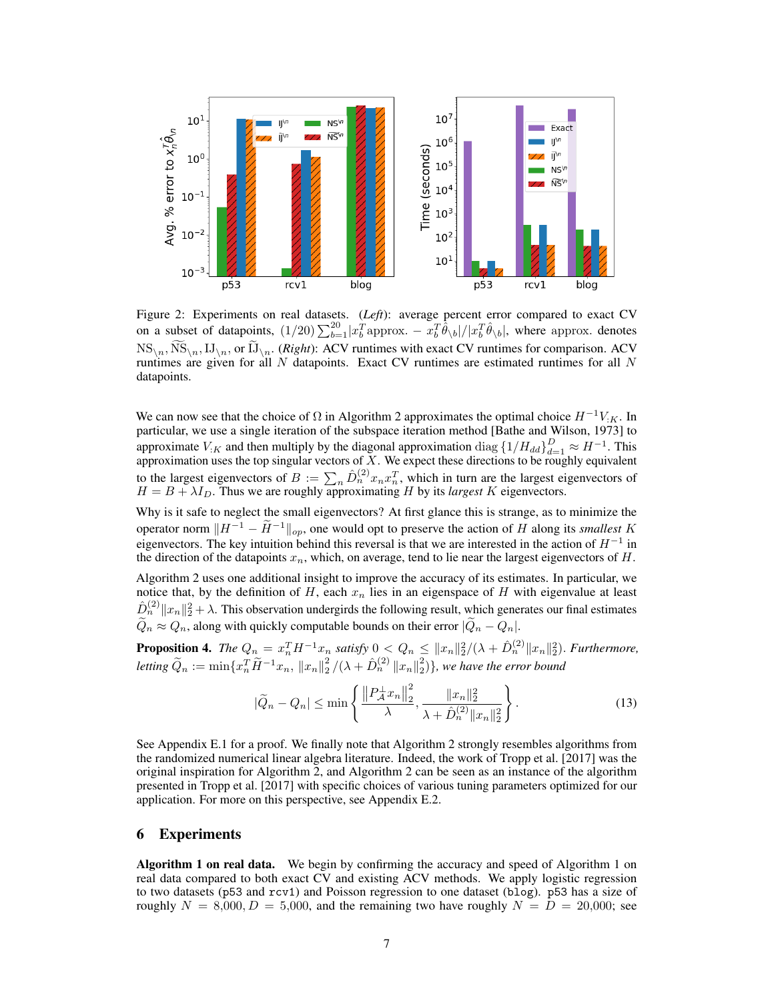

Figure 2: Experiments on real datasets. (*Left*): average percent error compared to exact CV on a subset of datapoints,  $(1/20)\sum_{b=1}^{20} |x_b^Tapprox - x_b^T\hat{\theta}_{\setminus b}|/|x_b^T\hat{\theta}_{\setminus b}|$ , where approx. denotes  $\text{NS}_{\setminus n}, \text{NS}_{\setminus n}, \text{IJ}_{\setminus n}, \text{or } \text{IJ}_{\setminus n}.$  (*Right*): ACV runtimes with exact CV runtimes for comparison. ACV runtimes are given for all  $N$  datapoints. Exact CV runtimes are estimated runtimes for all  $N$ datapoints.

We can now see that the choice of  $\Omega$  in Algorithm 2 approximates the optimal choice  $H^{-1}V_{:K}$ . In particular, we use a single iteration of the subspace iteration method [Bathe and Wilson, 1973] to approximate  $V_{:K}$  and then multiply by the diagonal approximation  $\text{diag} \left\{1/H_{dd}\right\}_{d=1}^{D} \approx H^{-1}$ . This approximation uses the top singular vectors of  $X$ . We expect these directions to be roughly equivalent to the largest eigenvectors of  $B := \sum_n \hat{D}_n^{(2)} x_n x_n^T$ , which in turn are the largest eigenvectors of  $H = B + \lambda I_D$ . Thus we are roughly approximating H by its *largest* K eigenvectors.

Why is it safe to neglect the small eigenvectors? At first glance this is strange, as to minimize the operator norm  $||H^{-1} - \tilde{H}^{-1}||_{op}$ , one would opt to preserve the action of H along its *smallest* K eigenvectors. The key intuition behind this reversal is that we are interested in the action of  $H^{-1}$  in the direction of the datapoints  $x_n$ , which, on average, tend to lie near the largest eigenvectors of H.

Algorithm 2 uses one additional insight to improve the accuracy of its estimates. In particular, we notice that, by the definition of H, each  $x_n$  lies in an eigenspace of H with eigenvalue at least  $\hat{D}_n^{(2)} \|x_n\|_2^2 + \lambda$ . This observation undergirds the following result, which generates our final estimates  $\widetilde{Q}_n \approx Q_n$ , along with quickly computable bounds on their error  $|\widetilde{Q}_n - Q_n|$ .

**Proposition 4.** The  $Q_n = x_n^T H^{-1} x_n$  satisfy  $0 < Q_n \leq ||x_n||_2^2/(\lambda + \hat{D}_n^{(2)} ||x_n||_2^2)$ . Furthermore,  $letting \ \widetilde{Q}_n := \min\{x_n^T \widetilde{H}^{-1}x_n, \|x_n\|_2^2/(\lambda + \hat{D}_n^{(2)} \|x_n\|_2^2)\},$  we have the error bound

$$
|\widetilde{Q}_n - Q_n| \le \min\left\{ \frac{\left\| P_A^{\perp} x_n \right\|_2^2}{\lambda}, \frac{\|x_n\|_2^2}{\lambda + \hat{D}_n^{(2)} \|x_n\|_2^2} \right\}.
$$
 (13)

See Appendix E.1 for a proof. We finally note that Algorithm 2 strongly resembles algorithms from the randomized numerical linear algebra literature. Indeed, the work of Tropp et al. [2017] was the original inspiration for Algorithm 2, and Algorithm 2 can be seen as an instance of the algorithm presented in Tropp et al. [2017] with specific choices of various tuning parameters optimized for our application. For more on this perspective, see Appendix E.2.

## 6 Experiments

Algorithm 1 on real data. We begin by confirming the accuracy and speed of Algorithm 1 on real data compared to both exact CV and existing ACV methods. We apply logistic regression to two datasets (p53 and rcv1) and Poisson regression to one dataset (blog). p53 has a size of roughly  $N = 8,000, D = 5,000$ , and the remaining two have roughly  $N = D = 20,000$ ; see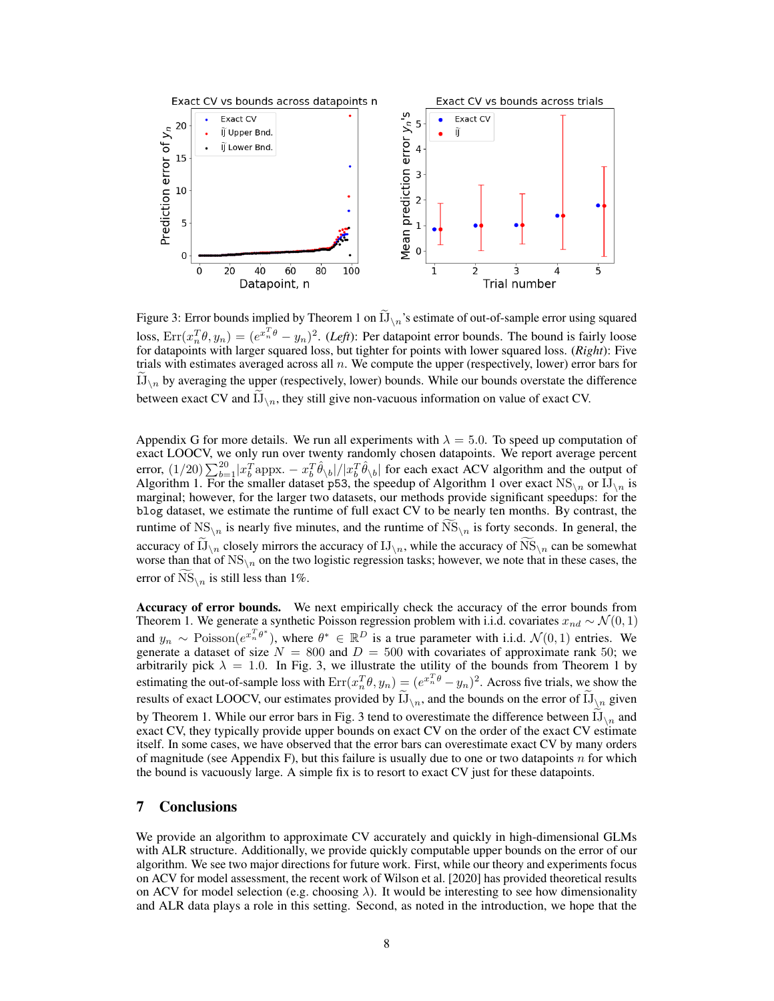

Figure 3: Error bounds implied by Theorem 1 on  $IJ_{\setminus n}$ 's estimate of out-of-sample error using squared loss,  $Err(x_n^T \theta, y_n) = (e^{x_n^T \theta} - y_n)^2$ . (*Left*): Per datapoint error bounds. The bound is fairly loose for datapoints with larger squared loss, but tighter for points with lower squared loss. (*Right*): Five trials with estimates averaged across all  $n$ . We compute the upper (respectively, lower) error bars for IJ<sub>\n</sub> by averaging the upper (respectively, lower) bounds. While our bounds overstate the difference between exact CV and  $\mathrm{IJ}_{\setminus n}$ , they still give non-vacuous information on value of exact CV.

Appendix G for more details. We run all experiments with  $\lambda = 5.0$ . To speed up computation of exact LOOCV, we only run over twenty randomly chosen datapoints. We report average percent error,  $(1/20)\sum_{b=1}^{20} |x_b^Tappx - x_b^T\hat{\theta}_{\setminus b}|/|x_b^T\hat{\theta}_{\setminus b}|$  for each exact ACV algorithm and the output of Algorithm 1. For the smaller dataset p53, the speedup of Algorithm 1 over exact  $NS_{\setminus n}$  or  $IJ_{\setminus n}$  is marginal; however, for the larger two datasets, our methods provide significant speedups: for the blog dataset, we estimate the runtime of full exact CV to be nearly ten months. By contrast, the runtime of  $NS_{n}$  is nearly five minutes, and the runtime of  $NS_{n}$  is forty seconds. In general, the accuracy of  $\prod_{n=1}^{\infty}$  closely mirrors the accuracy of  $\prod_{n=1}^{\infty}$ , while the accuracy of  $\text{NS}_{\setminus n}$  can be somewhat worse than that of  $NS_{\ln}$  on the two logistic regression tasks; however, we note that in these cases, the error of NS $_{\text{Nn}}$  is still less than 1%.

Accuracy of error bounds. We next empirically check the accuracy of the error bounds from Theorem 1. We generate a synthetic Poisson regression problem with i.i.d. covariates  $x_{nd} \sim \mathcal{N}(0, 1)$ and  $y_n \sim \text{Poisson}(e^{x_n^T \theta^*})$ , where  $\theta^* \in \mathbb{R}^D$  is a true parameter with i.i.d.  $\mathcal{N}(0, 1)$  entries. We generate a dataset of size  $N = 800$  and  $D = 500$  with covariates of approximate rank 50; we arbitrarily pick  $\lambda = 1.0$ . In Fig. 3, we illustrate the utility of the bounds from Theorem 1 by estimating the out-of-sample loss with  $Err(x_n^T \theta, y_n) = (e^{x_n^T \theta} - y_n)^2$ . Across five trials, we show the results of exact LOOCV, our estimates provided by  $\mathrm{IJ}_{\setminus n}$ , and the bounds on the error of  $\mathrm{IJ}_{\setminus n}$  given by Theorem 1. While our error bars in Fig. 3 tend to overestimate the difference between  $\prod_{n}$  and exact CV, they typically provide upper bounds on exact CV on the order of the exact CV estimate itself. In some cases, we have observed that the error bars can overestimate exact CV by many orders of magnitude (see Appendix F), but this failure is usually due to one or two datapoints  $n$  for which the bound is vacuously large. A simple fix is to resort to exact CV just for these datapoints.

## 7 Conclusions

We provide an algorithm to approximate CV accurately and quickly in high-dimensional GLMs with ALR structure. Additionally, we provide quickly computable upper bounds on the error of our algorithm. We see two major directions for future work. First, while our theory and experiments focus on ACV for model assessment, the recent work of Wilson et al. [2020] has provided theoretical results on ACV for model selection (e.g. choosing  $\lambda$ ). It would be interesting to see how dimensionality and ALR data plays a role in this setting. Second, as noted in the introduction, we hope that the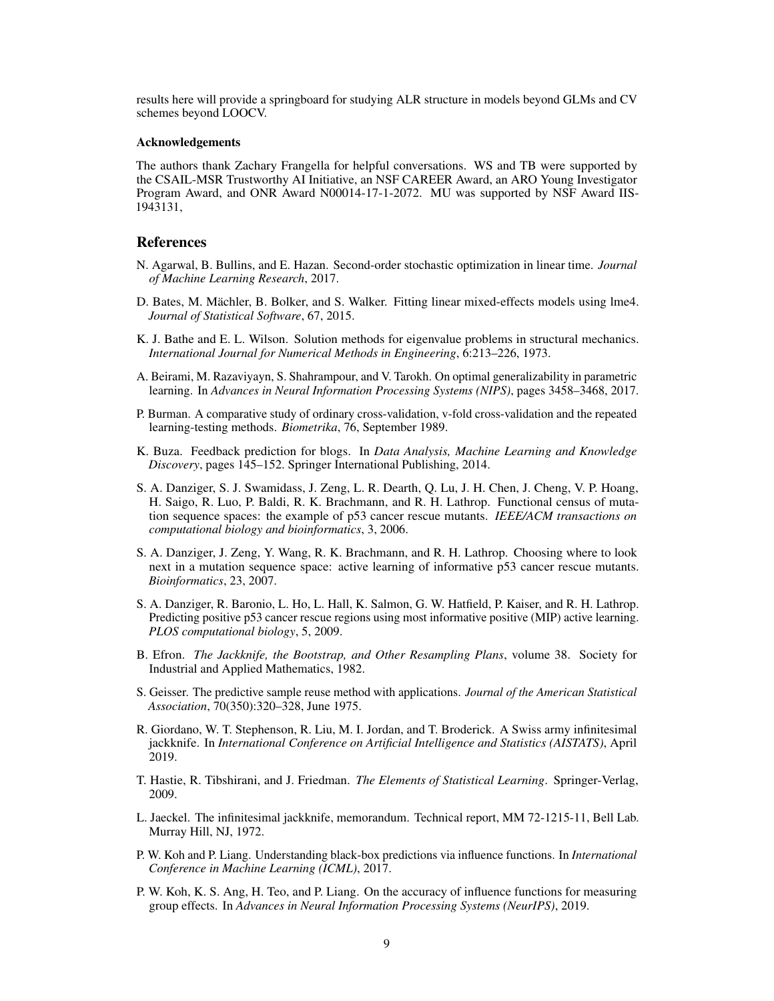results here will provide a springboard for studying ALR structure in models beyond GLMs and CV schemes beyond LOOCV.

#### Acknowledgements

The authors thank Zachary Frangella for helpful conversations. WS and TB were supported by the CSAIL-MSR Trustworthy AI Initiative, an NSF CAREER Award, an ARO Young Investigator Program Award, and ONR Award N00014-17-1-2072. MU was supported by NSF Award IIS-1943131,

#### References

- N. Agarwal, B. Bullins, and E. Hazan. Second-order stochastic optimization in linear time. *Journal of Machine Learning Research*, 2017.
- D. Bates, M. Mächler, B. Bolker, and S. Walker. Fitting linear mixed-effects models using lme4. *Journal of Statistical Software*, 67, 2015.
- K. J. Bathe and E. L. Wilson. Solution methods for eigenvalue problems in structural mechanics. *International Journal for Numerical Methods in Engineering*, 6:213–226, 1973.
- A. Beirami, M. Razaviyayn, S. Shahrampour, and V. Tarokh. On optimal generalizability in parametric learning. In *Advances in Neural Information Processing Systems (NIPS)*, pages 3458–3468, 2017.
- P. Burman. A comparative study of ordinary cross-validation, v-fold cross-validation and the repeated learning-testing methods. *Biometrika*, 76, September 1989.
- K. Buza. Feedback prediction for blogs. In *Data Analysis, Machine Learning and Knowledge Discovery*, pages 145–152. Springer International Publishing, 2014.
- S. A. Danziger, S. J. Swamidass, J. Zeng, L. R. Dearth, Q. Lu, J. H. Chen, J. Cheng, V. P. Hoang, H. Saigo, R. Luo, P. Baldi, R. K. Brachmann, and R. H. Lathrop. Functional census of mutation sequence spaces: the example of p53 cancer rescue mutants. *IEEE/ACM transactions on computational biology and bioinformatics*, 3, 2006.
- S. A. Danziger, J. Zeng, Y. Wang, R. K. Brachmann, and R. H. Lathrop. Choosing where to look next in a mutation sequence space: active learning of informative p53 cancer rescue mutants. *Bioinformatics*, 23, 2007.
- S. A. Danziger, R. Baronio, L. Ho, L. Hall, K. Salmon, G. W. Hatfield, P. Kaiser, and R. H. Lathrop. Predicting positive p53 cancer rescue regions using most informative positive (MIP) active learning. *PLOS computational biology*, 5, 2009.
- B. Efron. *The Jackknife, the Bootstrap, and Other Resampling Plans*, volume 38. Society for Industrial and Applied Mathematics, 1982.
- S. Geisser. The predictive sample reuse method with applications. *Journal of the American Statistical Association*, 70(350):320–328, June 1975.
- R. Giordano, W. T. Stephenson, R. Liu, M. I. Jordan, and T. Broderick. A Swiss army infinitesimal jackknife. In *International Conference on Artificial Intelligence and Statistics (AISTATS)*, April 2019.
- T. Hastie, R. Tibshirani, and J. Friedman. *The Elements of Statistical Learning*. Springer-Verlag, 2009.
- L. Jaeckel. The infinitesimal jackknife, memorandum. Technical report, MM 72-1215-11, Bell Lab. Murray Hill, NJ, 1972.
- P. W. Koh and P. Liang. Understanding black-box predictions via influence functions. In *International Conference in Machine Learning (ICML)*, 2017.
- P. W. Koh, K. S. Ang, H. Teo, and P. Liang. On the accuracy of influence functions for measuring group effects. In *Advances in Neural Information Processing Systems (NeurIPS)*, 2019.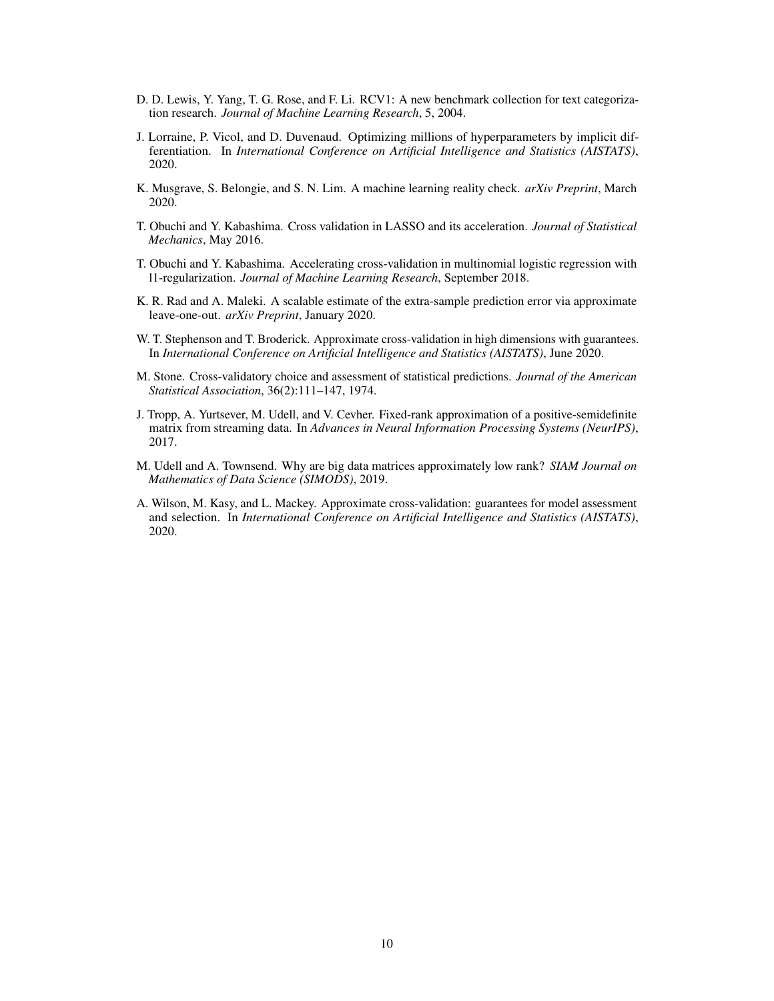- D. D. Lewis, Y. Yang, T. G. Rose, and F. Li. RCV1: A new benchmark collection for text categorization research. *Journal of Machine Learning Research*, 5, 2004.
- J. Lorraine, P. Vicol, and D. Duvenaud. Optimizing millions of hyperparameters by implicit differentiation. In *International Conference on Artificial Intelligence and Statistics (AISTATS)*, 2020.
- K. Musgrave, S. Belongie, and S. N. Lim. A machine learning reality check. *arXiv Preprint*, March 2020.
- T. Obuchi and Y. Kabashima. Cross validation in LASSO and its acceleration. *Journal of Statistical Mechanics*, May 2016.
- T. Obuchi and Y. Kabashima. Accelerating cross-validation in multinomial logistic regression with l1-regularization. *Journal of Machine Learning Research*, September 2018.
- K. R. Rad and A. Maleki. A scalable estimate of the extra-sample prediction error via approximate leave-one-out. *arXiv Preprint*, January 2020.
- W. T. Stephenson and T. Broderick. Approximate cross-validation in high dimensions with guarantees. In *International Conference on Artificial Intelligence and Statistics (AISTATS)*, June 2020.
- M. Stone. Cross-validatory choice and assessment of statistical predictions. *Journal of the American Statistical Association*, 36(2):111–147, 1974.
- J. Tropp, A. Yurtsever, M. Udell, and V. Cevher. Fixed-rank approximation of a positive-semidefinite matrix from streaming data. In *Advances in Neural Information Processing Systems (NeurIPS)*, 2017.
- M. Udell and A. Townsend. Why are big data matrices approximately low rank? *SIAM Journal on Mathematics of Data Science (SIMODS)*, 2019.
- A. Wilson, M. Kasy, and L. Mackey. Approximate cross-validation: guarantees for model assessment and selection. In *International Conference on Artificial Intelligence and Statistics (AISTATS)*, 2020.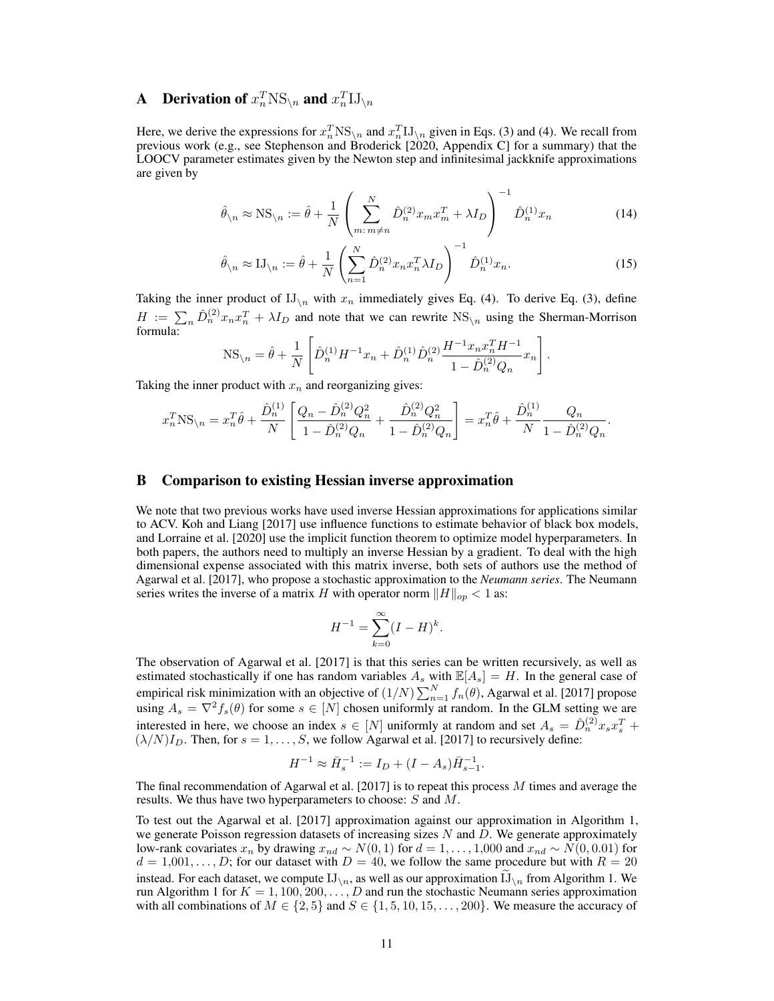## **A** Derivation of  $x_n^T \text{NS}_{\setminus n}$  and  $x_n^T \text{IJ}_{\setminus n}$

Here, we derive the expressions for  $x_n^T NS_{\{n\}}$  and  $x_n^T J J_{\{n\}}$  given in Eqs. (3) and (4). We recall from previous work (e.g., see Stephenson and Broderick [2020, Appendix C] for a summary) that the LOOCV parameter estimates given by the Newton step and infinitesimal jackknife approximations are given by

$$
\hat{\theta}_{\backslash n} \approx \text{NS}_{\backslash n} := \hat{\theta} + \frac{1}{N} \left( \sum_{m:\, m \neq n}^{N} \hat{D}_{n}^{(2)} x_{m} x_{m}^{T} + \lambda I_{D} \right)^{-1} \hat{D}_{n}^{(1)} x_{n}
$$
(14)

$$
\hat{\theta}_{\backslash n} \approx \mathbf{I} \mathbf{J}_{\backslash n} := \hat{\theta} + \frac{1}{N} \left( \sum_{n=1}^{N} \hat{D}_{n}^{(2)} x_{n} x_{n}^{T} \lambda I_{D} \right)^{-1} \hat{D}_{n}^{(1)} x_{n}.
$$
\n(15)

.

Taking the inner product of  $IJ_{\n}$  with  $x_n$  immediately gives Eq. (4). To derive Eq. (3), define  $H := \sum_n \hat{D}_n^{(2)} x_n x_n^T + \lambda I_D$  and note that we can rewrite  $NS_{\setminus n}$  using the Sherman-Morrison formula:

$$
NS_{\backslash n} = \hat{\theta} + \frac{1}{N} \left[ \hat{D}_n^{(1)} H^{-1} x_n + \hat{D}_n^{(1)} \hat{D}_n^{(2)} \frac{H^{-1} x_n x_n^T H^{-1}}{1 - \hat{D}_n^{(2)} Q_n} x_n \right].
$$

Taking the inner product with  $x_n$  and reorganizing gives:

$$
x_n^T \text{NS}_{n} = x_n^T \hat{\theta} + \frac{\hat{D}_n^{(1)}}{N} \left[ \frac{Q_n - \hat{D}_n^{(2)} Q_n^2}{1 - \hat{D}_n^{(2)} Q_n} + \frac{\hat{D}_n^{(2)} Q_n^2}{1 - \hat{D}_n^{(2)} Q_n} \right] = x_n^T \hat{\theta} + \frac{\hat{D}_n^{(1)}}{N} \frac{Q_n}{1 - \hat{D}_n^{(2)} Q_n}
$$

#### B Comparison to existing Hessian inverse approximation

We note that two previous works have used inverse Hessian approximations for applications similar to ACV. Koh and Liang [2017] use influence functions to estimate behavior of black box models, and Lorraine et al. [2020] use the implicit function theorem to optimize model hyperparameters. In both papers, the authors need to multiply an inverse Hessian by a gradient. To deal with the high dimensional expense associated with this matrix inverse, both sets of authors use the method of Agarwal et al. [2017], who propose a stochastic approximation to the *Neumann series*. The Neumann series writes the inverse of a matrix H with operator norm  $||H||_{op} < 1$  as:

$$
H^{-1} = \sum_{k=0}^{\infty} (I - H)^k.
$$

The observation of Agarwal et al. [2017] is that this series can be written recursively, as well as estimated stochastically if one has random variables  $A_s$  with  $\mathbb{E}[A_s] = H$ . In the general case of empirical risk minimization with an objective of  $(1/N)\sum_{n=1}^{N} f_n(\theta)$ , Agarwal et al. [2017] propose using  $A_s = \nabla^2 f_s(\theta)$  for some  $s \in [N]$  chosen uniformly at random. In the GLM setting we are interested in here, we choose an index  $s \in [N]$  uniformly at random and set  $A_s = \hat{D}_n^{(2)} x_s x_s^T +$  $(\lambda/N)I_D$ . Then, for  $s = 1, \ldots, S$ , we follow Agarwal et al. [2017] to recursively define:

$$
H^{-1} \approx \bar{H}_s^{-1} := I_D + (I - A_s)\bar{H}_{s-1}^{-1}.
$$

The final recommendation of Agarwal et al. [2017] is to repeat this process M times and average the results. We thus have two hyperparameters to choose: S and M.

To test out the Agarwal et al. [2017] approximation against our approximation in Algorithm 1, we generate Poisson regression datasets of increasing sizes  $N$  and  $D$ . We generate approximately low-rank covariates  $x_n$  by drawing  $x_{nd} \sim N(0, 1)$  for  $d = 1, ..., 1,000$  and  $x_{nd} \sim N(0, 0.01)$  for  $d = 1,001, \ldots, D$ ; for our dataset with  $D = 40$ , we follow the same procedure but with  $R = 20$ instead. For each dataset, we compute  $IJ_{\n\setminus n}$ , as well as our approximation  $IJ_{\n\setminus n}$  from Algorithm 1. We run Algorithm 1 for  $K = 1, 100, 200, \ldots, D$  and run the stochastic Neumann series approximation with all combinations of  $M \in \{2, 5\}$  and  $S \in \{1, 5, 10, 15, \ldots, 200\}$ . We measure the accuracy of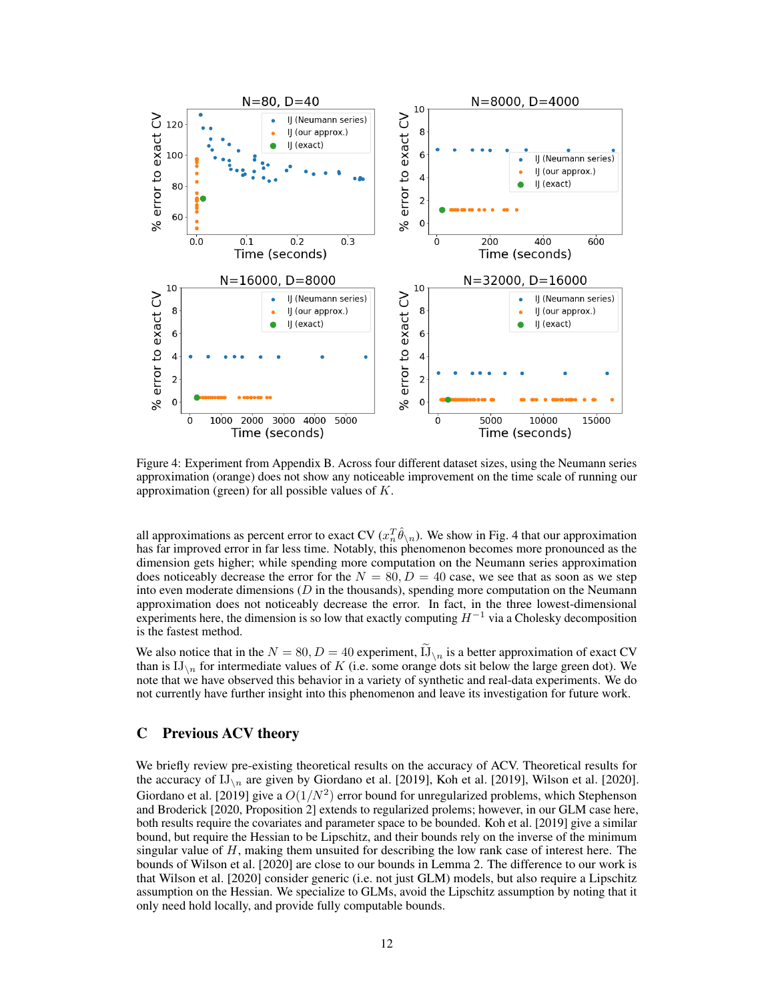

Figure 4: Experiment from Appendix B. Across four different dataset sizes, using the Neumann series approximation (orange) does not show any noticeable improvement on the time scale of running our approximation (green) for all possible values of  $K$ .

all approximations as percent error to exact CV ( $x_n^T\hat{\theta}_{\setminus n}$ ). We show in Fig. 4 that our approximation has far improved error in far less time. Notably, this phenomenon becomes more pronounced as the dimension gets higher; while spending more computation on the Neumann series approximation does noticeably decrease the error for the  $N = 80, D = 40$  case, we see that as soon as we step into even moderate dimensions  $(D \text{ in the thousands})$ , spending more computation on the Neumann approximation does not noticeably decrease the error. In fact, in the three lowest-dimensional experiments here, the dimension is so low that exactly computing  $H^{-1}$  via a Cholesky decomposition is the fastest method.

We also notice that in the  $N = 80, D = 40$  experiment,  $\prod_{n}$  is a better approximation of exact CV than is  $IJ_{\lambda n}$  for intermediate values of K (i.e. some orange dots sit below the large green dot). We note that we have observed this behavior in a variety of synthetic and real-data experiments. We do not currently have further insight into this phenomenon and leave its investigation for future work.

## C Previous ACV theory

We briefly review pre-existing theoretical results on the accuracy of ACV. Theoretical results for the accuracy of  $IJ_{\n}$  are given by Giordano et al. [2019], Koh et al. [2019], Wilson et al. [2020]. Giordano et al. [2019] give a  $O(1/N^2)$  error bound for unregularized problems, which Stephenson and Broderick [2020, Proposition 2] extends to regularized prolems; however, in our GLM case here, both results require the covariates and parameter space to be bounded. Koh et al. [2019] give a similar bound, but require the Hessian to be Lipschitz, and their bounds rely on the inverse of the minimum singular value of  $H$ , making them unsuited for describing the low rank case of interest here. The bounds of Wilson et al. [2020] are close to our bounds in Lemma 2. The difference to our work is that Wilson et al. [2020] consider generic (i.e. not just GLM) models, but also require a Lipschitz assumption on the Hessian. We specialize to GLMs, avoid the Lipschitz assumption by noting that it only need hold locally, and provide fully computable bounds.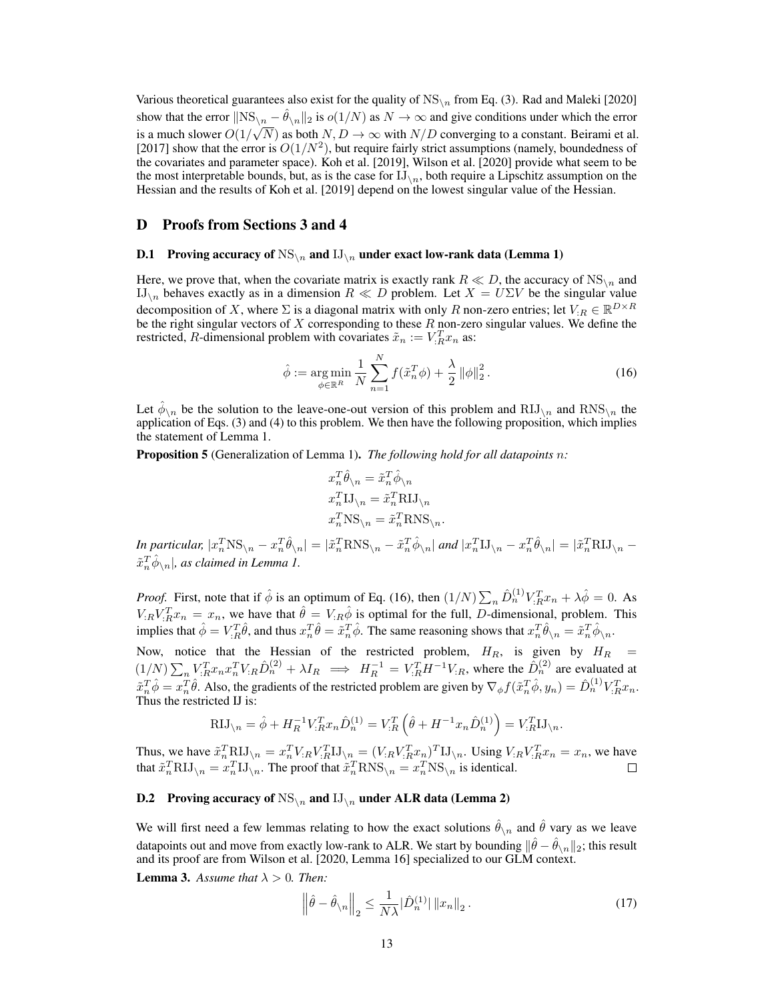Various theoretical guarantees also exist for the quality of  $NS<sub>2n</sub>$  from Eq. (3). Rad and Maleki [2020] show that the error  $\|\text{NS}_{\setminus n} - \hat{\theta}_{\setminus n}\|_2$  is  $o(1/N)$  as  $N \to \infty$  and give conditions under which the error is a much slower  $O(1/\sqrt{N})$  as both  $N, D \to \infty$  with  $N/D$  converging to a constant. Beirami et al. [2017] show that the error is  $O(1/N^2)$ , but require fairly strict assumptions (namely, boundedness of the covariates and parameter space). Koh et al. [2019], Wilson et al. [2020] provide what seem to be the most interpretable bounds, but, as is the case for  $II_{\setminus n}$ , both require a Lipschitz assumption on the Hessian and the results of Koh et al. [2019] depend on the lowest singular value of the Hessian.

#### D Proofs from Sections 3 and 4

#### **D.1** Proving accuracy of  $NS_{\n}$  and  $IJ_{\n}$  under exact low-rank data (Lemma 1)

Here, we prove that, when the covariate matrix is exactly rank  $R \ll D$ , the accuracy of  $NS_{\mathcal{N}_n}$  and IJ<sub>\n</sub> behaves exactly as in a dimension  $R \ll D$  problem. Let  $X = U\Sigma V$  be the singular value decomposition of X, where  $\Sigma$  is a diagonal matrix with only R non-zero entries; let  $V_{:R} \in \mathbb{R}^{D \times R}$ be the right singular vectors of  $X$  corresponding to these  $R$  non-zero singular values. We define the restricted, R-dimensional problem with covariates  $\tilde{x}_n := V_{:R}^T x_n$  as:

$$
\hat{\phi} := \underset{\phi \in \mathbb{R}^R}{\arg \min} \frac{1}{N} \sum_{n=1}^N f(\tilde{x}_n^T \phi) + \frac{\lambda}{2} ||\phi||_2^2.
$$
 (16)

Let  $\hat{\phi}_{\setminus n}$  be the solution to the leave-one-out version of this problem and  $\text{RJJ}_{\setminus n}$  and  $\text{RNS}_{\setminus n}$  the application of Eqs. (3) and (4) to this problem. We then have the following proposition, which implies the statement of Lemma 1.

Proposition 5 (Generalization of Lemma 1). *The following hold for all datapoints* n*:*

$$
\begin{aligned} &x_n^T\hat{\theta}_{\backslash n}=\tilde{x}_n^T\hat{\phi}_{\backslash n}\\ &x_n^T\textbf{IJ}_{\backslash n}=\tilde{x}_n^T\textbf{RIJ}_{\backslash n}\\ &x_n^T\textbf{NS}_{\backslash n}=\tilde{x}_n^T\textbf{RNS}_{\backslash n}. \end{aligned}
$$

*In particular,*  $|x_n^T$ NS $\setminus_n - x_n^T \hat{\theta}_{\setminus n}| = |\tilde{x}_n^T$ RNS $\setminus_n - \tilde{x}_n^T \hat{\phi}_{\setminus n}|$  and  $|x_n^T$ IJ $\setminus_n - x_n^T \hat{\theta}_{\setminus n}| = |\tilde{x}_n^T$ RIJ $\setminus_n \tilde{x}_n^T\hat{\phi}_{\setminus n}|$ , as claimed in Lemma 1.

*Proof.* First, note that if  $\hat{\phi}$  is an optimum of Eq. (16), then  $(1/N)\sum_{n} \hat{D}_{n}^{(1)}V_{:R}^{T}x_{n} + \lambda \hat{\phi} = 0$ . As  $V_{iR}V_{iR}^T x_n = x_n$ , we have that  $\hat{\theta} = V_{iR}\hat{\phi}$  is optimal for the full, *D*-dimensional, problem. This implies that  $\hat{\phi} = V_{:R}^T \hat{\theta}$ , and thus  $x_n^T \hat{\theta} = \tilde{x}_n^T \hat{\phi}$ . The same reasoning shows that  $x_n^T \hat{\theta}_{\setminus n} = \tilde{x}_n^T \hat{\phi}_{\setminus n}$ .

Now, notice that the Hessian of the restricted problem,  $H_R$ , is given by  $H_R$  =  $(1/N)\sum_n V_{R}^T x_n x_n^T V_{R} \hat{D}_{n}^{(2)} + \lambda I_R \implies H_R^{-1} = V_{R}^T H^{-1} V_{R}$ , where the  $\hat{D}_{n}^{(2)}$  are evaluated at  $\tilde{x}_n^T \hat{\phi} = x_n^T \hat{\theta}$ . Also, the gradients of the restricted problem are given by  $\nabla_{\phi} f(\tilde{x}_n^T \hat{\phi}, y_n) = \hat{D}_n^{(1)} V_{:R}^T x_n$ . Thus the restricted IJ is:

$$
RIJ_{\setminus n} = \hat{\phi} + H_R^{-1} V_{:R}^T x_n \hat{D}_n^{(1)} = V_{:R}^T \left( \hat{\theta} + H^{-1} x_n \hat{D}_n^{(1)} \right) = V_{:R}^T I J_{\setminus n}.
$$

Thus, we have  $\tilde{x}_n^T R I J_{\setminus n} = x_n^T V_R V_R^T I J_{\setminus n} = (V_R V_R^T x_n)^T I J_{\setminus n}$ . Using  $V_R V_R^T x_n = x_n$ , we have that  $\tilde{x}_n^T R I J_{\n\setminus n} = x_n^T I J_{\n\setminus n}$ . The proof that  $\tilde{x}_n^T R N S_{\n\setminus n} = x_n^T N S_{\n\setminus n}$  is identical.

## **D.2** Proving accuracy of  $NS_{\n}$  and  $IJ_{\n}$  under ALR data (Lemma 2)

We will first need a few lemmas relating to how the exact solutions  $\hat{\theta}_{\setminus n}$  and  $\hat{\theta}$  vary as we leave datapoints out and move from exactly low-rank to ALR. We start by bounding  $\|\hat\theta-\hat\theta_{\backslash n}\|_2$ ; this result and its proof are from Wilson et al. [2020, Lemma 16] specialized to our GLM context.

**Lemma 3.** Assume that  $\lambda > 0$ . Then:

$$
\left\|\hat{\theta} - \hat{\theta}_{\setminus n}\right\|_2 \le \frac{1}{N\lambda} |\hat{D}_n^{(1)}| \left\|x_n\right\|_2.
$$
 (17)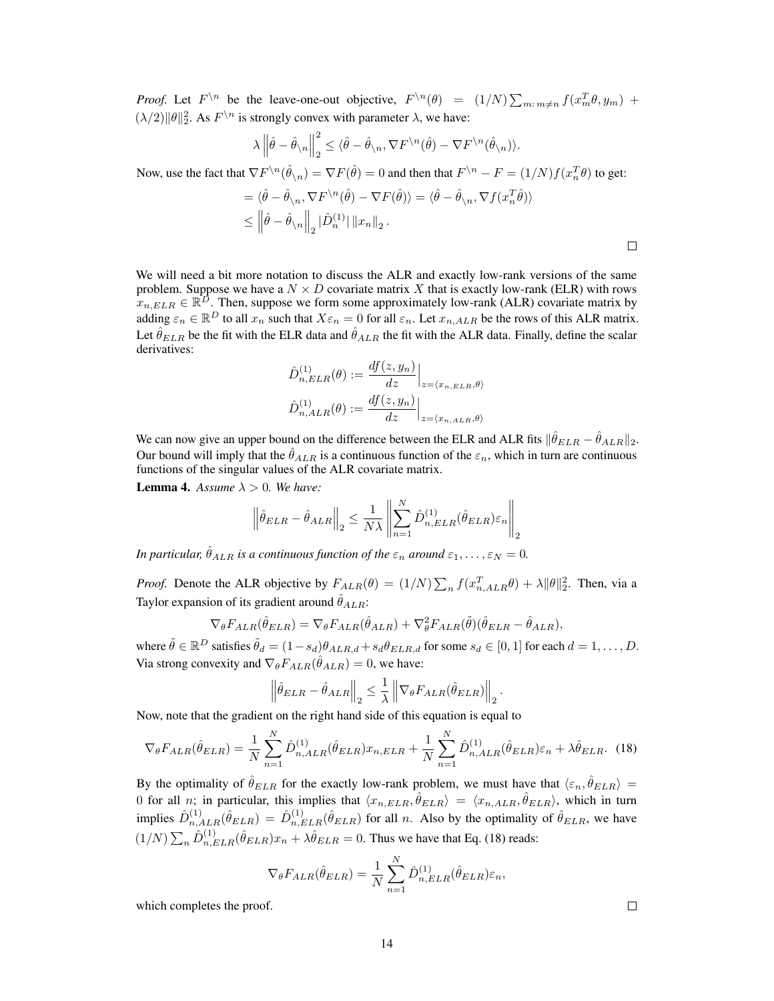*Proof.* Let  $F^{\setminus n}$  be the leave-one-out objective,  $F^{\setminus n}(\theta) = (1/N) \sum_{m \colon m \neq n} f(x_m^T \theta, y_m)$  +  $(\lambda/2) ||\theta||_2^2$ . As  $F^{\setminus n}$  is strongly convex with parameter  $\lambda$ , we have:

$$
\lambda \left\|\hat{\theta} - \hat{\theta}_{\setminus n}\right\|_2^2 \leq \langle \hat{\theta} - \hat{\theta}_{\setminus n}, \nabla F^{\setminus n}(\hat{\theta}) - \nabla F^{\setminus n}(\hat{\theta}_{\setminus n})\rangle.
$$

Now, use the fact that  $\nabla F^{\setminus n}(\hat{\theta}_{\setminus n}) = \nabla F(\hat{\theta}) = 0$  and then that  $F^{\setminus n} - F = (1/N)f(x_n^T\theta)$  to get:

$$
= \langle \hat{\theta} - \hat{\theta}_{\setminus n}, \nabla F^{\setminus n}(\hat{\theta}) - \nabla F(\hat{\theta}) \rangle = \langle \hat{\theta} - \hat{\theta}_{\setminus n}, \nabla f(x_n^T \hat{\theta}) \rangle
$$
  
\n
$$
\leq \left\| \hat{\theta} - \hat{\theta}_{\setminus n} \right\|_2 |\hat{D}_n^{(1)}| \|x_n\|_2.
$$

We will need a bit more notation to discuss the ALR and exactly low-rank versions of the same problem. Suppose we have a  $N \times D$  covariate matrix X that is exactly low-rank (ELR) with rows  $x_{n,ELR} \in \mathbb{R}^{\overline{D}}$ . Then, suppose we form some approximately low-rank (ALR) covariate matrix by adding  $\varepsilon_n \in \mathbb{R}^D$  to all  $x_n$  such that  $X \varepsilon_n = 0$  for all  $\varepsilon_n$ . Let  $x_{n,ALR}$  be the rows of this ALR matrix. Let  $\hat{\theta}_{ELR}$  be the fit with the ELR data and  $\hat{\theta}_{ALR}$  the fit with the ALR data. Finally, define the scalar derivatives:

$$
\hat{D}_{n,ELR}^{(1)}(\theta) := \frac{df(z, y_n)}{dz}\Big|_{z = \langle x_{n,ELR}, \theta \rangle}
$$

$$
\hat{D}_{n,ALR}^{(1)}(\theta) := \frac{df(z, y_n)}{dz}\Big|_{z = \langle x_{n,ALR}, \theta \rangle}
$$

We can now give an upper bound on the difference between the ELR and ALR fits  $\|\hat{\theta}_{ELR} - \hat{\theta}_{ALR}\|_2$ . Our bound will imply that the  $\hat{\theta}_{ALR}$  is a continuous function of the  $\varepsilon_n$ , which in turn are continuous functions of the singular values of the ALR covariate matrix.

**Lemma 4.** Assume  $\lambda > 0$ . We have:

$$
\left\|\hat{\theta}_{ELR} - \hat{\theta}_{ALR}\right\|_2 \le \frac{1}{N\lambda} \left\|\sum_{n=1}^N \hat{D}_{n,ELR}^{(1)}(\hat{\theta}_{ELR})\varepsilon_n\right\|_2
$$

*In particular,*  $\hat{\theta}_{ALR}$  *is a continuous function of the*  $\varepsilon_n$  *around*  $\varepsilon_1, \ldots, \varepsilon_N = 0$ *.* 

*Proof.* Denote the ALR objective by  $F_{ALR}(\theta) = (1/N) \sum_n f(x_{n,ALR}^T \theta) + \lambda ||\theta||_2^2$ . Then, via a Taylor expansion of its gradient around  $\hat{\theta}_{ALR}$ :

$$
\nabla_{\theta} F_{ALR}(\hat{\theta}_{ELR}) = \nabla_{\theta} F_{ALR}(\hat{\theta}_{ALR}) + \nabla_{\theta}^{2} F_{ALR}(\tilde{\theta})(\hat{\theta}_{ELR} - \hat{\theta}_{ALR}),
$$

where  $\tilde{\theta} \in \mathbb{R}^D$  satisfies  $\tilde{\theta}_d = (1 - s_d)\theta_{ALR,d} + s_d\theta_{ELR,d}$  for some  $s_d \in [0, 1]$  for each  $d = 1, \ldots, D$ . Via strong convexity and  $\nabla_{\theta} F_{ALR}(\hat{\theta}_{ALR}) = 0$ , we have:

$$
\left\|\hat{\theta}_{ELR} - \hat{\theta}_{ALR}\right\|_2 \leq \frac{1}{\lambda} \left\|\nabla_{\theta} F_{ALR}(\hat{\theta}_{ELR})\right\|_2.
$$

Now, note that the gradient on the right hand side of this equation is equal to

$$
\nabla_{\theta} F_{ALR}(\hat{\theta}_{ELR}) = \frac{1}{N} \sum_{n=1}^{N} \hat{D}_{n,ALR}^{(1)}(\hat{\theta}_{ELR}) x_{n,ELR} + \frac{1}{N} \sum_{n=1}^{N} \hat{D}_{n,ALR}^{(1)}(\hat{\theta}_{ELR}) \varepsilon_n + \lambda \hat{\theta}_{ELR}.
$$
 (18)

By the optimality of  $\hat{\theta}_{ELR}$  for the exactly low-rank problem, we must have that  $\langle \varepsilon_n, \hat{\theta}_{ELR} \rangle =$ 0 for all *n*; in particular, this implies that  $\langle x_{n,ELR}, \hat{\theta}_{ELR} \rangle = \langle x_{n,ALR}, \hat{\theta}_{ELR} \rangle$ , which in turn implies  $\hat{D}_{n,ALR}^{(1)}(\hat{\theta}_{ELR}) = \hat{D}_{n,ELR}^{(1)}(\hat{\theta}_{ELR})$  for all n. Also by the optimality of  $\hat{\theta}_{ELR}$ , we have  $(1/N)\sum_n \hat{D}_{n,ELR}^{(1)}(\hat{\theta}_{ELR})x_n + \lambda \hat{\theta}_{ELR} = 0$ . Thus we have that Eq. (18) reads:

$$
\nabla_{\theta} F_{ALR}(\hat{\theta}_{ELR}) = \frac{1}{N} \sum_{n=1}^{N} \hat{D}_{n,ELR}^{(1)}(\hat{\theta}_{ELR}) \varepsilon_n,
$$

which completes the proof.

 $\Box$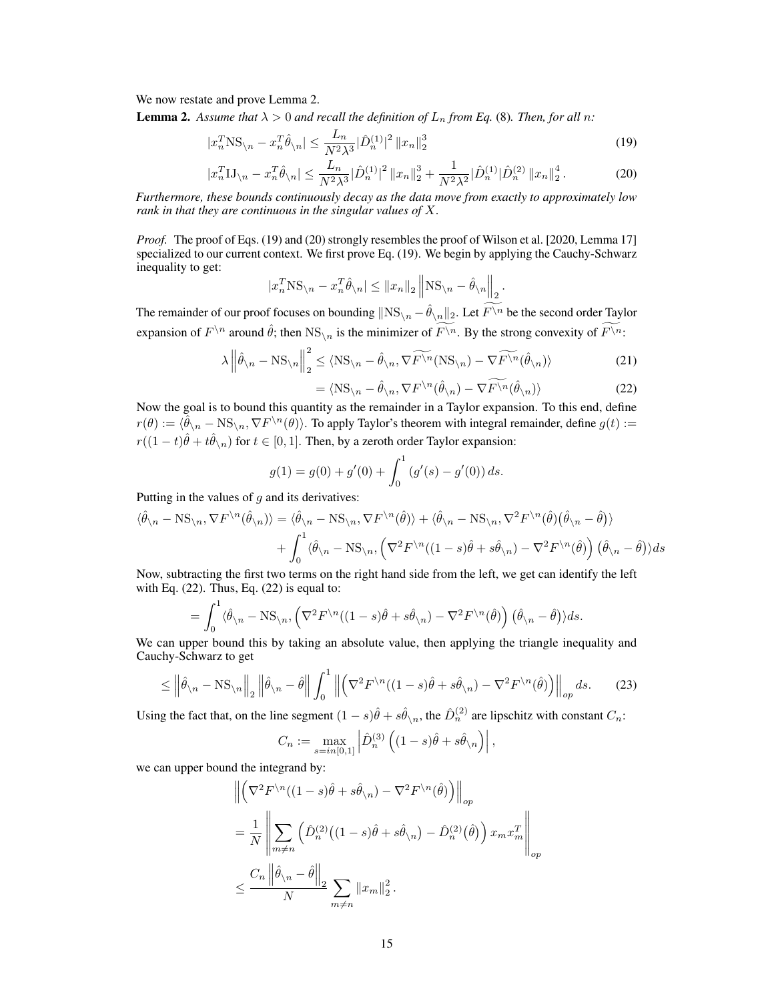We now restate and prove Lemma 2.

**Lemma 2.** Assume that  $\lambda > 0$  and recall the definition of  $L_n$  from Eq. (8). Then, for all n:

$$
|x_n^T \text{NS}_{\backslash n} - x_n^T \hat{\theta}_{\backslash n}| \le \frac{L_n}{N^2 \lambda^3} |\hat{D}_n^{(1)}|^2 \|x_n\|_2^3
$$
\n(19)

$$
|x_n^T \mathbf{I} \mathbf{J}_{\setminus n} - x_n^T \hat{\theta}_{\setminus n}| \le \frac{L_n}{N^2 \lambda^3} |\hat{D}_n^{(1)}|^2 \|x_n\|_2^3 + \frac{1}{N^2 \lambda^2} |\hat{D}_n^{(1)}| \hat{D}_n^{(2)} \|x_n\|_2^4. \tag{20}
$$

*Furthermore, these bounds continuously decay as the data move from exactly to approximately low rank in that they are continuous in the singular values of* X*.*

*Proof.* The proof of Eqs. (19) and (20) strongly resembles the proof of Wilson et al. [2020, Lemma 17] specialized to our current context. We first prove Eq. (19). We begin by applying the Cauchy-Schwarz inequality to get:

$$
|x_n^T \text{NS}_{\setminus n} - x_n^T \hat{\theta}_{\setminus n}| \le ||x_n||_2 ||\text{NS}_{\setminus n} - \hat{\theta}_{\setminus n}||_2.
$$

The remainder of our proof focuses on bounding  $\|\text{NS}_{\setminus n} - \hat{\theta}_{\setminus n}\|_2$ . Let  $F\backslash^n$  be the second order Taylor expansion of  $F^{\setminus n}$  around  $\hat{\theta}$ ; then  $\text{NS}_{\setminus n}$  is the minimizer of  $\widehat{F^{\setminus n}}$ . By the strong convexity of  $\widehat{F^{\setminus n}}$ :

$$
\lambda \left\| \hat{\theta}_{\backslash n} - \text{NS}_{\backslash n} \right\|_2^2 \le \langle \text{NS}_{\backslash n} - \hat{\theta}_{\backslash n}, \nabla \widetilde{F^{\backslash n}}(\text{NS}_{\backslash n}) - \nabla \widetilde{F^{\backslash n}}(\hat{\theta}_{\backslash n}) \rangle \tag{21}
$$

$$
= \langle \text{NS}_{\setminus n} - \hat{\theta}_{\setminus n}, \nabla F^{\setminus n}(\hat{\theta}_{\setminus n}) - \nabla \widetilde{F^{\setminus n}}(\hat{\theta}_{\setminus n}) \rangle \tag{22}
$$

Now the goal is to bound this quantity as the remainder in a Taylor expansion. To this end, define  $r(\theta) := \langle \hat{\theta}_\lambda - \text{NS}_{\lambda n}, \nabla F^{\lambda n}(\theta) \rangle$ . To apply Taylor's theorem with integral remainder, define  $g(t) :=$  $r((1-t)\hat{\theta} + t\hat{\theta}_{\setminus n})$  for  $t \in [0,1]$ . Then, by a zeroth order Taylor expansion:

$$
g(1) = g(0) + g'(0) + \int_0^1 (g'(s) - g'(0)) ds.
$$

Putting in the values of  $q$  and its derivatives:

$$
\langle \hat{\theta}_{\setminus n} - \text{NS}_{\setminus n}, \nabla F^{\setminus n}(\hat{\theta}_{\setminus n}) \rangle = \langle \hat{\theta}_{\setminus n} - \text{NS}_{\setminus n}, \nabla F^{\setminus n}(\hat{\theta}) \rangle + \langle \hat{\theta}_{\setminus n} - \text{NS}_{\setminus n}, \nabla^2 F^{\setminus n}(\hat{\theta}) (\hat{\theta}_{\setminus n} - \hat{\theta}) \rangle + \int_0^1 \langle \hat{\theta}_{\setminus n} - \text{NS}_{\setminus n}, \left( \nabla^2 F^{\setminus n}((1-s)\hat{\theta} + s\hat{\theta}_{\setminus n}) - \nabla^2 F^{\setminus n}(\hat{\theta}) \right) (\hat{\theta}_{\setminus n} - \hat{\theta}) \rangle ds
$$

Now, subtracting the first two terms on the right hand side from the left, we get can identify the left with Eq.  $(22)$ . Thus, Eq.  $(22)$  is equal to:

$$
= \int_0^1 \langle \hat{\theta}_n - \text{NS}_{\backslash n}, \left( \nabla^2 F^{\backslash n} ((1-s)\hat{\theta} + s\hat{\theta}_{\backslash n}) - \nabla^2 F^{\backslash n}(\hat{\theta}) \right) (\hat{\theta}_n - \hat{\theta}) \rangle ds.
$$

We can upper bound this by taking an absolute value, then applying the triangle inequality and Cauchy-Schwarz to get

$$
\leq \left\|\hat{\theta}_{\backslash n} - \mathcal{NS}_{\backslash n}\right\|_{2} \left\|\hat{\theta}_{\backslash n} - \hat{\theta}\right\| \int_{0}^{1} \left\|\left(\nabla^{2} F^{\backslash n}((1-s)\hat{\theta} + s\hat{\theta}_{\backslash n}) - \nabla^{2} F^{\backslash n}(\hat{\theta})\right)\right\|_{op} ds. \tag{23}
$$

Using the fact that, on the line segment  $(1-s)\hat{\theta} + s\hat{\theta}_{\setminus n}$ , the  $\hat{D}_n^{(2)}$  are lipschitz with constant  $C_n$ :

$$
C_n := \max_{s=in[0,1]} \left| \hat{D}_n^{(3)} \left( (1-s)\hat{\theta} + s\hat{\theta}_{\setminus n} \right) \right|,
$$

we can upper bound the integrand by:

$$
\begin{split} & \left\| \left( \nabla^2 F^{\backslash n}((1-s)\hat{\theta} + s\hat{\theta}_{\backslash n}) - \nabla^2 F^{\backslash n}(\hat{\theta}) \right) \right\|_{op} \\ & = \frac{1}{N} \left\| \sum_{m \neq n} \left( \hat{D}_n^{(2)}((1-s)\hat{\theta} + s\hat{\theta}_{\backslash n}) - \hat{D}_n^{(2)}(\hat{\theta}) \right) x_m x_m^T \right\|_{op} \\ & \leq \frac{C_n \left\| \hat{\theta}_{\backslash n} - \hat{\theta} \right\|_2}{N} \sum_{m \neq n} \|x_m\|_2^2 \,. \end{split}
$$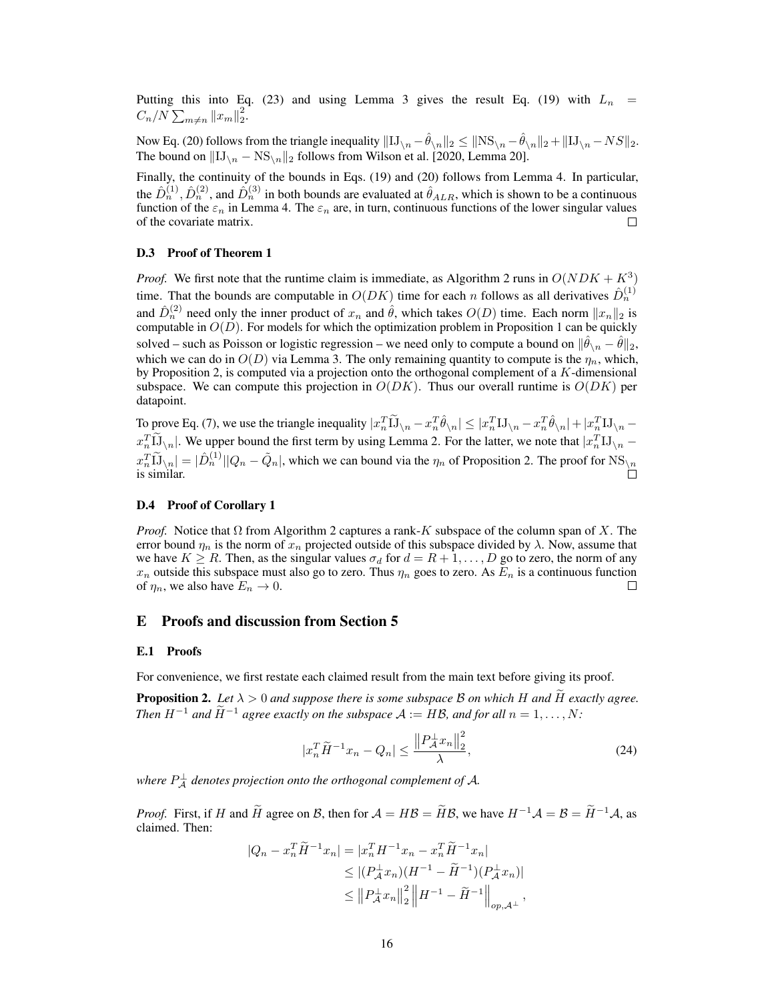Putting this into Eq. (23) and using Lemma 3 gives the result Eq. (19) with  $L_n$  $C_n/N \sum_{m \neq n} ||x_m||_2^2$ .

Now Eq. (20) follows from the triangle inequality  $\|\mathrm{IJ}_{\setminus n} - \hat{\theta}_{\setminus n}\|_2 \leq \|\mathrm{NS}_{\setminus n} - \hat{\theta}_{\setminus n}\|_2 + \|\mathrm{IJ}_{\setminus n} - NS\|_2$ . The bound on  $\|\text{IJ}_{\setminus n} - \text{NS}_{\setminus n}\|_2$  follows from Wilson et al. [2020, Lemma 20].

Finally, the continuity of the bounds in Eqs. (19) and (20) follows from Lemma 4. In particular, the  $\hat{D}_n^{(1)}$ ,  $\hat{D}_n^{(2)}$ , and  $\hat{D}_n^{(3)}$  in both bounds are evaluated at  $\hat{\theta}_{ALR}$ , which is shown to be a continuous function of the  $\varepsilon_n$  in Lemma 4. The  $\varepsilon_n$  are, in turn, continuous functions of the lower singular values of the covariate matrix. П

#### D.3 Proof of Theorem 1

*Proof.* We first note that the runtime claim is immediate, as Algorithm 2 runs in  $O(NDK + K^3)$ time. That the bounds are computable in  $O(DK)$  time for each n follows as all derivatives  $\hat{D}_n^{(1)}$ and  $\hat{D}_n^{(2)}$  need only the inner product of  $x_n$  and  $\hat{\theta}$ , which takes  $O(D)$  time. Each norm  $||x_n||_2$  is computable in  $O(D)$ . For models for which the optimization problem in Proposition 1 can be quickly solved – such as Poisson or logistic regression – we need only to compute a bound on  $\|\hat{\theta}_{\setminus n} - \hat{\theta}\|_2$ , which we can do in  $O(D)$  via Lemma 3. The only remaining quantity to compute is the  $\eta_n$ , which, by Proposition 2, is computed via a projection onto the orthogonal complement of a K-dimensional subspace. We can compute this projection in  $O(DK)$ . Thus our overall runtime is  $O(DK)$  per datapoint.

To prove Eq. (7), we use the triangle inequality  $|x_n^T \tilde{1} \tilde{1}_{\setminus n} - x_n^T \hat{\theta}_{\setminus n}| \le |x_n^T 1 \tilde{1}_{\setminus n} - x_n^T \hat{\theta}_{\setminus n}| + |x_n^T 1 \tilde{1}_{\setminus n} - \tilde{1}_{\setminus n} - \tilde{1}_{\setminus n} - \tilde{1}_{\setminus n} - \tilde{1}_{\setminus n}$  $x_n^T \overline{\text{LJ}}_{\setminus n}$ . We upper bound the first term by using Lemma 2. For the latter, we note that  $|x_n^T \text{LJ}_{\setminus n}$  –  $x_n^T \widetilde{\mathbf{L}}_{\setminus n} = |\hat{D}_n^{(1)}||Q_n - \tilde{Q}_n|$ , which we can bound via the  $\eta_n$  of Proposition 2. The proof for NS<sub>\n</sub> is similar.

#### D.4 Proof of Corollary 1

*Proof.* Notice that  $\Omega$  from Algorithm 2 captures a rank-K subspace of the column span of X. The error bound  $\eta_n$  is the norm of  $x_n$  projected outside of this subspace divided by  $\lambda$ . Now, assume that we have  $K \ge R$ . Then, as the singular values  $\sigma_d$  for  $d = R + 1, \ldots, D$  go to zero, the norm of any  $x_n$  outside this subspace must also go to zero. Thus  $\eta_n$  goes to zero. As  $E_n$  is a continuous function of  $\eta_n$ , we also have  $E_n \to 0$ .  $\Box$ 

#### E Proofs and discussion from Section 5

#### E.1 Proofs

For convenience, we first restate each claimed result from the main text before giving its proof.

**Proposition 2.** Let  $\lambda > 0$  and suppose there is some subspace B on which H and H exactly agree. *Then*  $H^{-1}$  *and*  $\widetilde{H}^{-1}$  *agree exactly on the subspace*  $A := HB$ *, and for all*  $n = 1, ..., N$ :

$$
|x_n^T \widetilde{H}^{-1} x_n - Q_n| \le \frac{\left\| P_{\mathcal{A}}^{\perp} x_n \right\|_2^2}{\lambda},\tag{24}
$$

where  $P_{\mathcal{A}}^{\perp}$  denotes projection onto the orthogonal complement of  $\mathcal{A}$ .

*Proof.* First, if H and  $\widetilde{H}$  agree on B, then for  $\mathcal{A} = H\mathcal{B} = \widetilde{H}\mathcal{B}$ , we have  $H^{-1}\mathcal{A} = \mathcal{B} = \widetilde{H}^{-1}\mathcal{A}$ , as claimed. Then:

$$
|Q_n - x_n^T \widetilde{H}^{-1} x_n| = |x_n^T H^{-1} x_n - x_n^T \widetilde{H}^{-1} x_n|
$$
  
\n
$$
\leq |(P_\mathcal{A}^\perp x_n)(H^{-1} - \widetilde{H}^{-1})(P_\mathcal{A}^\perp x_n)|
$$
  
\n
$$
\leq ||P_\mathcal{A}^\perp x_n||_2^2 ||H^{-1} - \widetilde{H}^{-1}||_{op,\mathcal{A}^\perp},
$$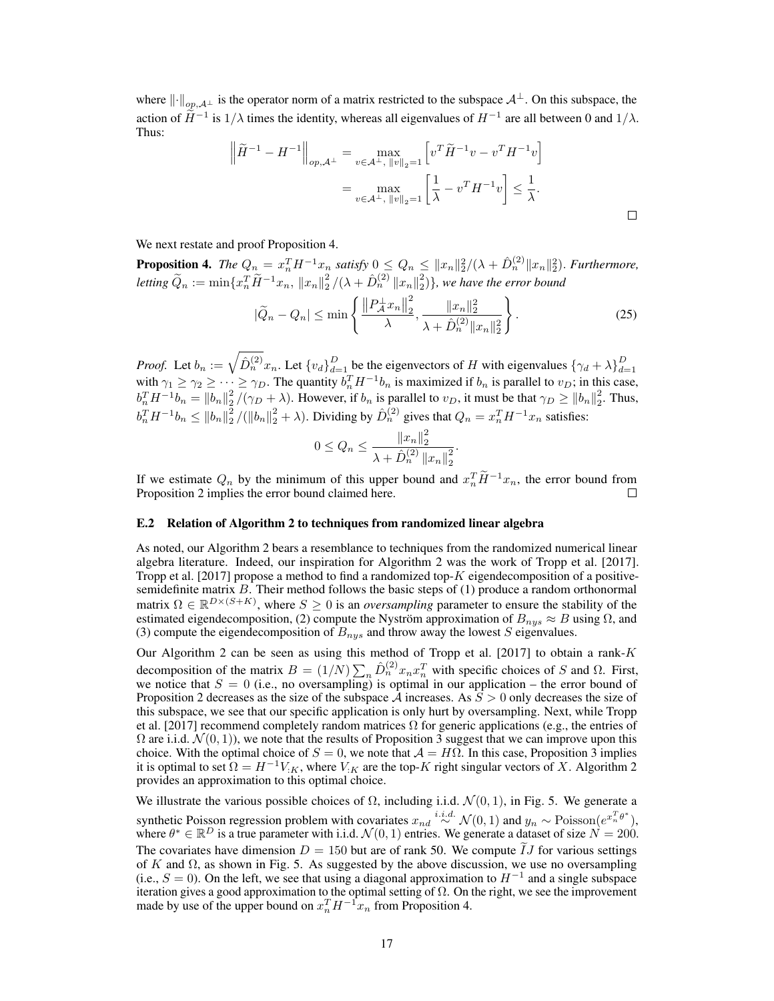where  $\lVert \cdot \rVert_{op,A^{\perp}}$  is the operator norm of a matrix restricted to the subspace  $A^{\perp}$ . On this subspace, the action of  $\widetilde{H}^{-1}$  is  $1/\lambda$  times the identity, whereas all eigenvalues of  $H^{-1}$  are all between 0 and  $1/\lambda$ . Thus:

$$
\left\| \tilde{H}^{-1} - H^{-1} \right\|_{op, \mathcal{A}^{\perp}} = \max_{v \in \mathcal{A}^{\perp}, \|v\|_{2} = 1} \left[ v^T \tilde{H}^{-1} v - v^T H^{-1} v \right]
$$
  
= 
$$
\max_{v \in \mathcal{A}^{\perp}, \|v\|_{2} = 1} \left[ \frac{1}{\lambda} - v^T H^{-1} v \right] \le \frac{1}{\lambda}.
$$

We next restate and proof Proposition 4.

**Proposition 4.** The  $Q_n = x_n^T H^{-1} x_n$  satisfy  $0 \le Q_n \le ||x_n||_2^2/(\lambda + \hat{D}_n^{(2)} ||x_n||_2^2)$ . Furthermore,  $letting \ \widetilde{Q}_n := \min\{x_n^T \widetilde{H}^{-1}x_n, \|x_n\|_2^2/(\lambda + \hat{D}_n^{(2)} \|x_n\|_2^2)\},$  we have the error bound

$$
|\widetilde{Q}_n - Q_n| \le \min\left\{ \frac{\left\| P_A^{\perp} x_n \right\|_2^2}{\lambda}, \frac{\|x_n\|_2^2}{\lambda + \hat{D}_n^{(2)} \|x_n\|_2^2} \right\}.
$$
 (25)

*Proof.* Let  $b_n := \sqrt{\hat{D}_n^{(2)}} x_n$ . Let  $\{v_d\}_{d=1}^D$  be the eigenvectors of H with eigenvalues  $\{\gamma_d + \lambda\}_{d=1}^D$  with  $\gamma_1 \geq \gamma_2 \geq \cdots \geq \gamma_D$ . The quantity  $b_n^T H^{-1} b_n$  is maximized if  $b_n$  is parallel to  $v_D$ ; in this  $b_n^TH^{-1}b_n = ||b_n||_2^2/(\gamma_D + \lambda)$ . However, if  $b_n$  is parallel to  $v_D$ , it must be that  $\gamma_D \ge ||b_n||_2^2$ . Thus,  $b_n^TH^{-1}b_n \leq ||b_n||_2^2/(||b_n||_2^2 + \lambda)$ . Dividing by  $\hat{D}_n^{(2)}$  gives that  $Q_n = x_n^TH^{-1}x_n$  satisfies:

$$
0 \le Q_n \le \frac{\left\|x_n\right\|_2^2}{\lambda + \hat{D}_n^{(2)} \left\|x_n\right\|_2^2}.
$$

If we estimate  $Q_n$  by the minimum of this upper bound and  $x_n^T \tilde{H}^{-1} x_n$ , the error bound from Proposition 2 implies the error bound claimed here.

#### E.2 Relation of Algorithm 2 to techniques from randomized linear algebra

As noted, our Algorithm 2 bears a resemblance to techniques from the randomized numerical linear algebra literature. Indeed, our inspiration for Algorithm 2 was the work of Tropp et al. [2017]. Tropp et al. [2017] propose a method to find a randomized top-K eigendecomposition of a positivesemidefinite matrix  $B$ . Their method follows the basic steps of  $(1)$  produce a random orthonormal matrix  $\Omega \in \mathbb{R}^{D\times (S+K)}$ , where  $S \geq 0$  is an *oversampling* parameter to ensure the stability of the estimated eigendecomposition, (2) compute the Nyström approximation of  $B_{nys} \approx B$  using  $\Omega$ , and (3) compute the eigendecomposition of  $B_{nys}$  and throw away the lowest S eigenvalues.

Our Algorithm 2 can be seen as using this method of Tropp et al. [2017] to obtain a rank- $K$ decomposition of the matrix  $B = (1/N) \sum_n \hat{D}_n^{(2)} x_n x_n^T$  with specific choices of S and  $\Omega$ . First, we notice that  $S = 0$  (i.e., no oversampling) is optimal in our application – the error bound of Proposition 2 decreases as the size of the subspace A increases. As  $S > 0$  only decreases the size of this subspace, we see that our specific application is only hurt by oversampling. Next, while Tropp et al. [2017] recommend completely random matrices  $\Omega$  for generic applications (e.g., the entries of  $\Omega$  are i.i.d.  $\mathcal{N}(0, 1)$ , we note that the results of Proposition 3 suggest that we can improve upon this choice. With the optimal choice of  $S = 0$ , we note that  $A = H\Omega$ . In this case, Proposition 3 implies it is optimal to set  $\Omega = H^{-1}V_{:K}$ , where  $V_{:K}$  are the top-K right singular vectors of X. Algorithm 2 provides an approximation to this optimal choice.

We illustrate the various possible choices of  $\Omega$ , including i.i.d.  $\mathcal{N}(0, 1)$ , in Fig. 5. We generate a synthetic Poisson regression problem with covariates  $x_{nd} \stackrel{i.i.d.}{\sim} \mathcal{N}(0, 1)$  and  $y_n \sim \text{Poisson}(e^{x_n^T \theta^*})$ , where  $\theta^* \in \mathbb{R}^D$  is a true parameter with i.i.d.  $\mathcal{N}(0, 1)$  entries. We generate a dataset of size  $N = 200$ . The covariates have dimension  $D = 150$  but are of rank 50. We compute  $\tilde{I}J$  for various settings of K and  $\Omega$ , as shown in Fig. 5. As suggested by the above discussion, we use no oversampling (i.e.,  $S = 0$ ). On the left, we see that using a diagonal approximation to  $H^{-1}$  and a single subspace iteration gives a good approximation to the optimal setting of  $\Omega$ . On the right, we see the improvement made by use of the upper bound on  $x_n^T H^{-1}x_n$  from Proposition 4.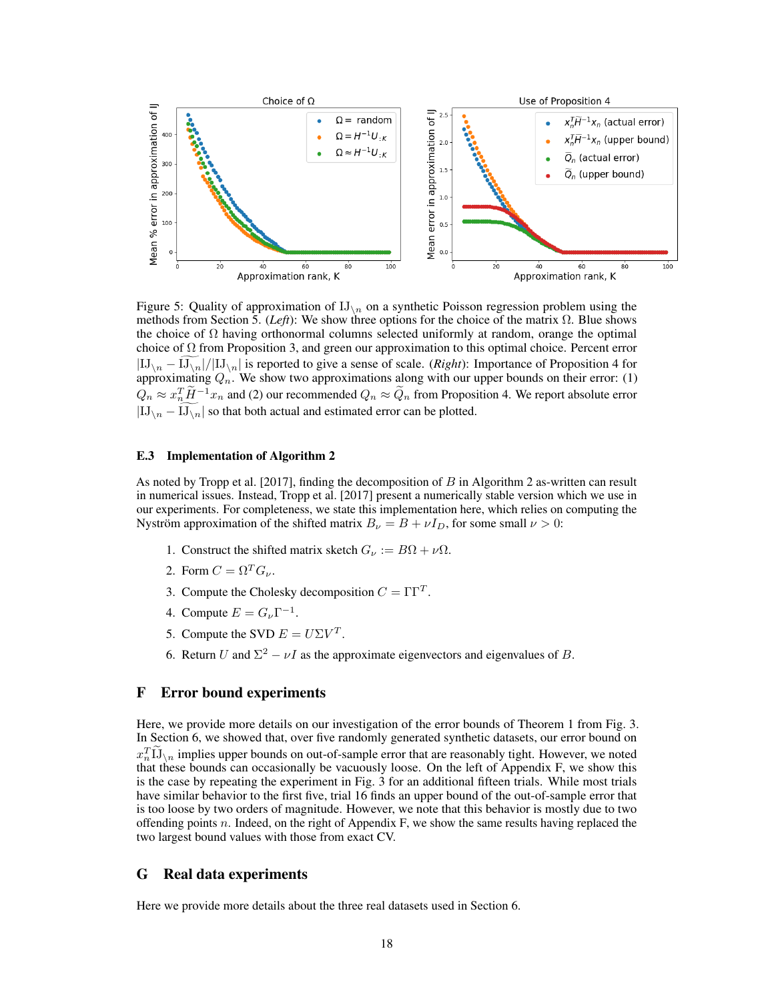

Figure 5: Quality of approximation of  $IJ_{\n}$  on a synthetic Poisson regression problem using the methods from Section 5. (*Left*): We show three options for the choice of the matrix  $Ω$ . Blue shows the choice of  $\Omega$  having orthonormal columns selected uniformly at random, orange the optimal choice of  $\Omega$  from Proposition 3, and green our approximation to this optimal choice. Percent error  $|IJ_{\n\setminus n} -IJ_{\n\setminus n}|/|IJ_{\n\setminus n}|$  is reported to give a sense of scale. (*Right*): Importance of Proposition 4 for approximating  $Q_n$ . We show two approximations along with our upper bounds on their error: (1)  $Q_n \approx x_n^T \tilde{H}^{-1} x_n$  and (2) our recommended  $Q_n \approx \tilde{Q}_n$  from Proposition 4. We report absolute error  $|IJ_{n}-IJ_{n}|$  so that both actual and estimated error can be plotted.

#### E.3 Implementation of Algorithm 2

As noted by Tropp et al. [2017], finding the decomposition of B in Algorithm 2 as-written can result in numerical issues. Instead, Tropp et al. [2017] present a numerically stable version which we use in our experiments. For completeness, we state this implementation here, which relies on computing the Nyström approximation of the shifted matrix  $B_{\nu} = B + \nu I_D$ , for some small  $\nu > 0$ :

- 1. Construct the shifted matrix sketch  $G_{\nu} := B\Omega + \nu\Omega$ .
- 2. Form  $C = \Omega^T G_{\nu}$ .
- 3. Compute the Cholesky decomposition  $C = \Gamma \Gamma^{T}$ .
- 4. Compute  $E = G_{\nu} \Gamma^{-1}$ .
- 5. Compute the SVD  $E = U\Sigma V^T$ .
- 6. Return U and  $\Sigma^2 \nu I$  as the approximate eigenvectors and eigenvalues of B.

#### F Error bound experiments

Here, we provide more details on our investigation of the error bounds of Theorem 1 from Fig. 3. In Section 6, we showed that, over five randomly generated synthetic datasets, our error bound on  $x_n^T \tilde{L}$ , implies upper bounds on out-of-sample error that are reasonably tight. However, we noted that these bounds can occasionally be vacuously loose. On the left of Appendix F, we show this is the case by repeating the experiment in Fig. 3 for an additional fifteen trials. While most trials have similar behavior to the first five, trial 16 finds an upper bound of the out-of-sample error that is too loose by two orders of magnitude. However, we note that this behavior is mostly due to two offending points n. Indeed, on the right of Appendix F, we show the same results having replaced the two largest bound values with those from exact CV.

## G Real data experiments

Here we provide more details about the three real datasets used in Section 6.